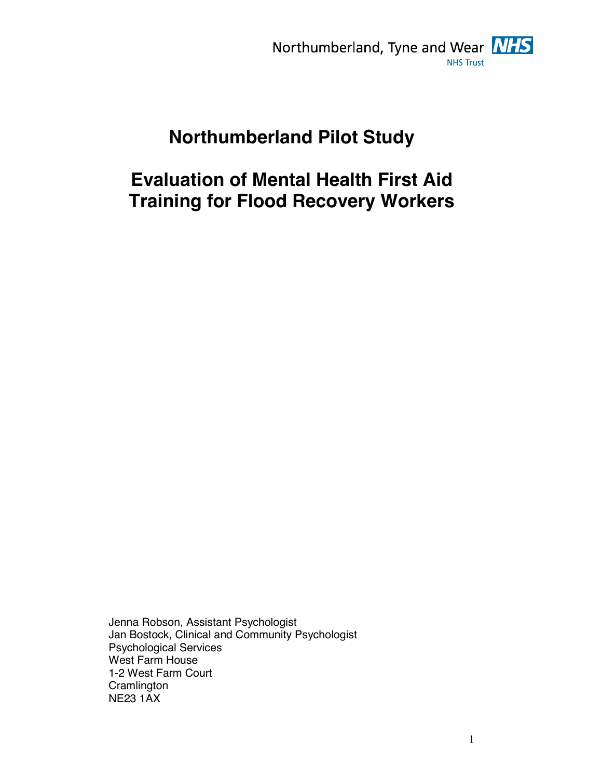

# **Northumberland Pilot Study**

# **Evaluation of Mental Health First Aid Training for Flood Recovery Workers**

Jenna Robson, Assistant Psychologist Jan Bostock, Clinical and Community Psychologist Psychological Services West Farm House 1-2 West Farm Court **Cramlington** NE23 1AX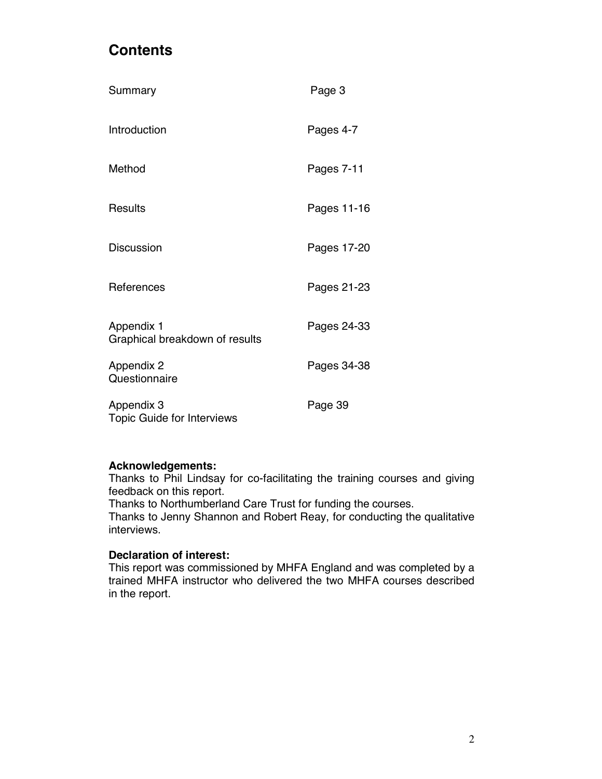## **Contents**

| Summary                                         | Page 3      |
|-------------------------------------------------|-------------|
| Introduction                                    | Pages 4-7   |
| Method                                          | Pages 7-11  |
| <b>Results</b>                                  | Pages 11-16 |
| <b>Discussion</b>                               | Pages 17-20 |
| References                                      | Pages 21-23 |
| Appendix 1<br>Graphical breakdown of results    | Pages 24-33 |
| Appendix 2<br>Questionnaire                     | Pages 34-38 |
| Appendix 3<br><b>Topic Guide for Interviews</b> | Page 39     |

#### **Acknowledgements:**

Thanks to Phil Lindsay for co-facilitating the training courses and giving feedback on this report.

Thanks to Northumberland Care Trust for funding the courses.

Thanks to Jenny Shannon and Robert Reay, for conducting the qualitative interviews.

### **Declaration of interest:**

This report was commissioned by MHFA England and was completed by a trained MHFA instructor who delivered the two MHFA courses described in the report.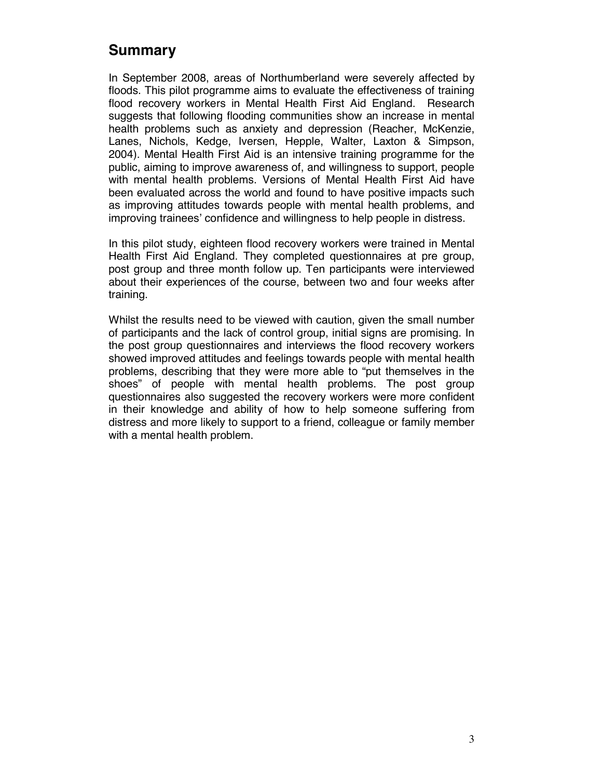## **Summary**

In September 2008, areas of Northumberland were severely affected by floods. This pilot programme aims to evaluate the effectiveness of training flood recovery workers in Mental Health First Aid England. Research suggests that following flooding communities show an increase in mental health problems such as anxiety and depression (Reacher, McKenzie, Lanes, Nichols, Kedge, Iversen, Hepple, Walter, Laxton & Simpson, 2004). Mental Health First Aid is an intensive training programme for the public, aiming to improve awareness of, and willingness to support, people with mental health problems. Versions of Mental Health First Aid have been evaluated across the world and found to have positive impacts such as improving attitudes towards people with mental health problems, and improving trainees' confidence and willingness to help people in distress.

In this pilot study, eighteen flood recovery workers were trained in Mental Health First Aid England. They completed questionnaires at pre group, post group and three month follow up. Ten participants were interviewed about their experiences of the course, between two and four weeks after training.

Whilst the results need to be viewed with caution, given the small number of participants and the lack of control group, initial signs are promising. In the post group questionnaires and interviews the flood recovery workers showed improved attitudes and feelings towards people with mental health problems, describing that they were more able to "put themselves in the shoes" of people with mental health problems. The post group questionnaires also suggested the recovery workers were more confident in their knowledge and ability of how to help someone suffering from distress and more likely to support to a friend, colleague or family member with a mental health problem.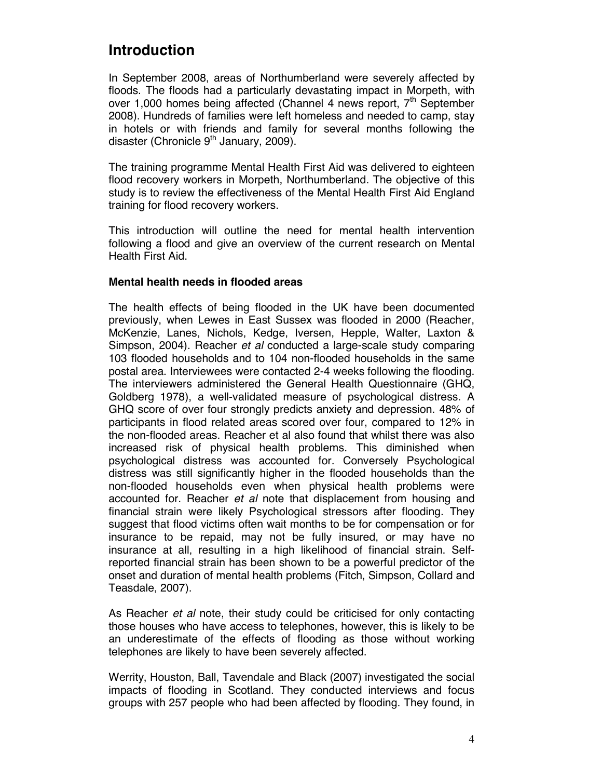## **Introduction**

In September 2008, areas of Northumberland were severely affected by floods. The floods had a particularly devastating impact in Morpeth, with over 1,000 homes being affected (Channel 4 news report,  $7<sup>th</sup>$  September 2008). Hundreds of families were left homeless and needed to camp, stay in hotels or with friends and family for several months following the disaster (Chronicle  $9<sup>th</sup>$  January, 2009).

The training programme Mental Health First Aid was delivered to eighteen flood recovery workers in Morpeth, Northumberland. The objective of this study is to review the effectiveness of the Mental Health First Aid England training for flood recovery workers.

This introduction will outline the need for mental health intervention following a flood and give an overview of the current research on Mental Health First Aid.

#### **Mental health needs in flooded areas**

The health effects of being flooded in the UK have been documented previously, when Lewes in East Sussex was flooded in 2000 (Reacher, McKenzie, Lanes, Nichols, Kedge, Iversen, Hepple, Walter, Laxton & Simpson, 2004). Reacher *et al* conducted a large-scale study comparing 103 flooded households and to 104 non-flooded households in the same postal area. Interviewees were contacted 2-4 weeks following the flooding. The interviewers administered the General Health Questionnaire (GHQ, Goldberg 1978), a well-validated measure of psychological distress. A GHQ score of over four strongly predicts anxiety and depression. 48% of participants in flood related areas scored over four, compared to 12% in the non-flooded areas. Reacher et al also found that whilst there was also increased risk of physical health problems. This diminished when psychological distress was accounted for. Conversely Psychological distress was still significantly higher in the flooded households than the non-flooded households even when physical health problems were accounted for. Reacher *et al* note that displacement from housing and financial strain were likely Psychological stressors after flooding. They suggest that flood victims often wait months to be for compensation or for insurance to be repaid, may not be fully insured, or may have no insurance at all, resulting in a high likelihood of financial strain. Selfreported financial strain has been shown to be a powerful predictor of the onset and duration of mental health problems (Fitch, Simpson, Collard and Teasdale, 2007).

As Reacher *et al* note, their study could be criticised for only contacting those houses who have access to telephones, however, this is likely to be an underestimate of the effects of flooding as those without working telephones are likely to have been severely affected.

Werrity, Houston, Ball, Tavendale and Black (2007) investigated the social impacts of flooding in Scotland. They conducted interviews and focus groups with 257 people who had been affected by flooding. They found, in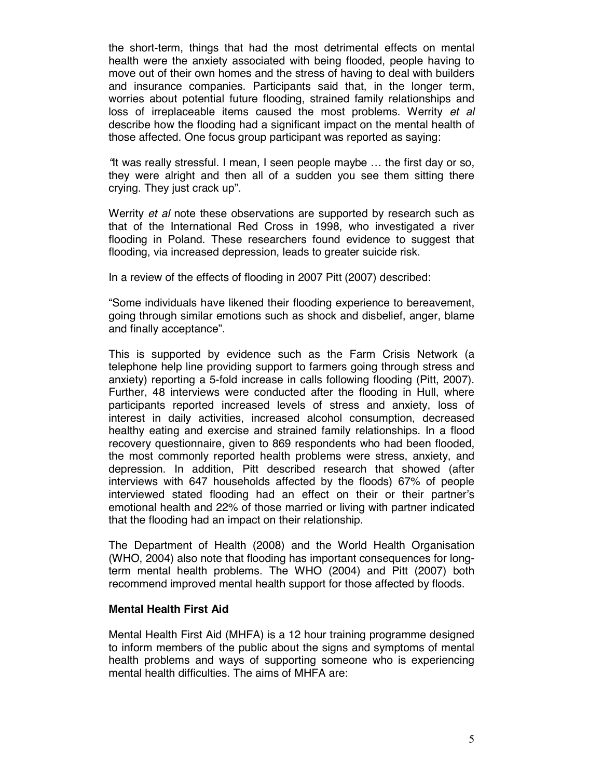the short-term, things that had the most detrimental effects on mental health were the anxiety associated with being flooded, people having to move out of their own homes and the stress of having to deal with builders and insurance companies. Participants said that, in the longer term, worries about potential future flooding, strained family relationships and loss of irreplaceable items caused the most problems. Werrity *et al* describe how the flooding had a significant impact on the mental health of those affected. One focus group participant was reported as saying:

*"*It was really stressful. I mean, I seen people maybe … the first day or so, they were alright and then all of a sudden you see them sitting there crying. They just crack up".

Werrity *et al* note these observations are supported by research such as that of the International Red Cross in 1998, who investigated a river flooding in Poland. These researchers found evidence to suggest that flooding, via increased depression, leads to greater suicide risk.

In a review of the effects of flooding in 2007 Pitt (2007) described:

"Some individuals have likened their flooding experience to bereavement, going through similar emotions such as shock and disbelief, anger, blame and finally acceptance".

This is supported by evidence such as the Farm Crisis Network (a telephone help line providing support to farmers going through stress and anxiety) reporting a 5-fold increase in calls following flooding (Pitt, 2007). Further, 48 interviews were conducted after the flooding in Hull, where participants reported increased levels of stress and anxiety, loss of interest in daily activities, increased alcohol consumption, decreased healthy eating and exercise and strained family relationships. In a flood recovery questionnaire, given to 869 respondents who had been flooded, the most commonly reported health problems were stress, anxiety, and depression. In addition, Pitt described research that showed (after interviews with 647 households affected by the floods) 67% of people interviewed stated flooding had an effect on their or their partner's emotional health and 22% of those married or living with partner indicated that the flooding had an impact on their relationship.

The Department of Health (2008) and the World Health Organisation (WHO, 2004) also note that flooding has important consequences for longterm mental health problems. The WHO (2004) and Pitt (2007) both recommend improved mental health support for those affected by floods.

#### **Mental Health First Aid**

Mental Health First Aid (MHFA) is a 12 hour training programme designed to inform members of the public about the signs and symptoms of mental health problems and ways of supporting someone who is experiencing mental health difficulties. The aims of MHFA are: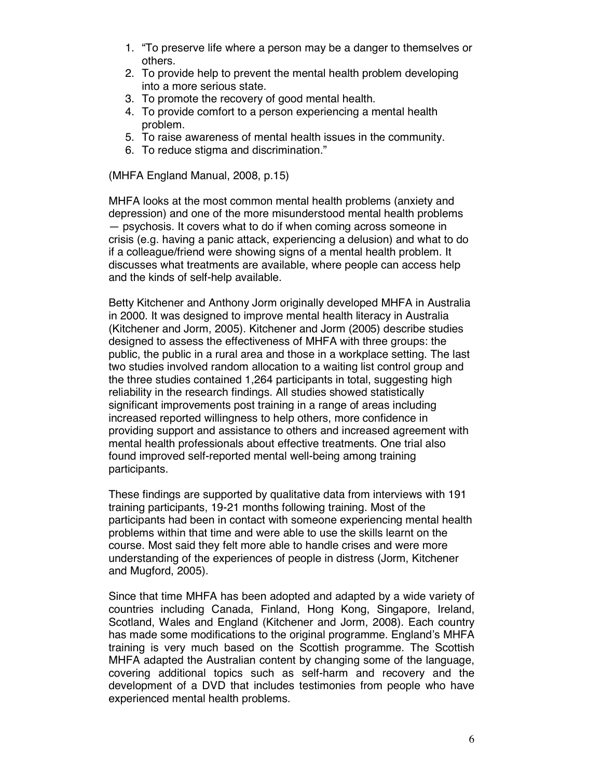- 1. "To preserve life where a person may be a danger to themselves or others.
- 2. To provide help to prevent the mental health problem developing into a more serious state.
- 3. To promote the recovery of good mental health.
- 4. To provide comfort to a person experiencing a mental health problem.
- 5. To raise awareness of mental health issues in the community.
- 6. To reduce stigma and discrimination."

(MHFA England Manual, 2008, p.15)

MHFA looks at the most common mental health problems (anxiety and depression) and one of the more misunderstood mental health problems — psychosis. It covers what to do if when coming across someone in crisis (e.g. having a panic attack, experiencing a delusion) and what to do if a colleague/friend were showing signs of a mental health problem. It discusses what treatments are available, where people can access help and the kinds of self-help available.

Betty Kitchener and Anthony Jorm originally developed MHFA in Australia in 2000. It was designed to improve mental health literacy in Australia (Kitchener and Jorm, 2005). Kitchener and Jorm (2005) describe studies designed to assess the effectiveness of MHFA with three groups: the public, the public in a rural area and those in a workplace setting. The last two studies involved random allocation to a waiting list control group and the three studies contained 1,264 participants in total, suggesting high reliability in the research findings. All studies showed statistically significant improvements post training in a range of areas including increased reported willingness to help others, more confidence in providing support and assistance to others and increased agreement with mental health professionals about effective treatments. One trial also found improved self-reported mental well-being among training participants.

These findings are supported by qualitative data from interviews with 191 training participants, 19-21 months following training. Most of the participants had been in contact with someone experiencing mental health problems within that time and were able to use the skills learnt on the course. Most said they felt more able to handle crises and were more understanding of the experiences of people in distress (Jorm, Kitchener and Mugford, 2005).

Since that time MHFA has been adopted and adapted by a wide variety of countries including Canada, Finland, Hong Kong, Singapore, Ireland, Scotland, Wales and England (Kitchener and Jorm, 2008). Each country has made some modifications to the original programme. England's MHFA training is very much based on the Scottish programme. The Scottish MHFA adapted the Australian content by changing some of the language, covering additional topics such as self-harm and recovery and the development of a DVD that includes testimonies from people who have experienced mental health problems.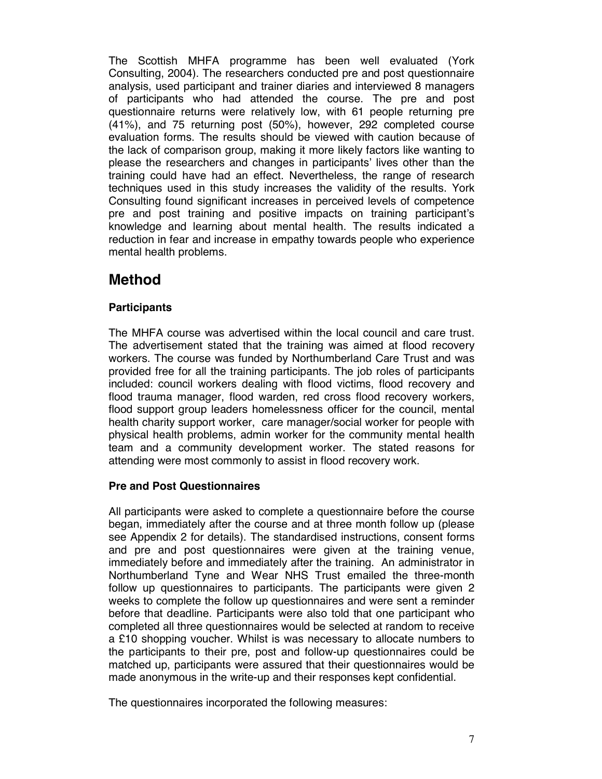The Scottish MHFA programme has been well evaluated (York Consulting, 2004). The researchers conducted pre and post questionnaire analysis, used participant and trainer diaries and interviewed 8 managers of participants who had attended the course. The pre and post questionnaire returns were relatively low, with 61 people returning pre (41%), and 75 returning post (50%), however, 292 completed course evaluation forms. The results should be viewed with caution because of the lack of comparison group, making it more likely factors like wanting to please the researchers and changes in participants' lives other than the training could have had an effect. Nevertheless, the range of research techniques used in this study increases the validity of the results. York Consulting found significant increases in perceived levels of competence pre and post training and positive impacts on training participant's knowledge and learning about mental health. The results indicated a reduction in fear and increase in empathy towards people who experience mental health problems.

## **Method**

### **Participants**

The MHFA course was advertised within the local council and care trust. The advertisement stated that the training was aimed at flood recovery workers. The course was funded by Northumberland Care Trust and was provided free for all the training participants. The job roles of participants included: council workers dealing with flood victims, flood recovery and flood trauma manager, flood warden, red cross flood recovery workers, flood support group leaders homelessness officer for the council, mental health charity support worker, care manager/social worker for people with physical health problems, admin worker for the community mental health team and a community development worker. The stated reasons for attending were most commonly to assist in flood recovery work.

### **Pre and Post Questionnaires**

All participants were asked to complete a questionnaire before the course began, immediately after the course and at three month follow up (please see Appendix 2 for details). The standardised instructions, consent forms and pre and post questionnaires were given at the training venue, immediately before and immediately after the training. An administrator in Northumberland Tyne and Wear NHS Trust emailed the three-month follow up questionnaires to participants. The participants were given 2 weeks to complete the follow up questionnaires and were sent a reminder before that deadline. Participants were also told that one participant who completed all three questionnaires would be selected at random to receive a £10 shopping voucher. Whilst is was necessary to allocate numbers to the participants to their pre, post and follow-up questionnaires could be matched up, participants were assured that their questionnaires would be made anonymous in the write-up and their responses kept confidential.

The questionnaires incorporated the following measures: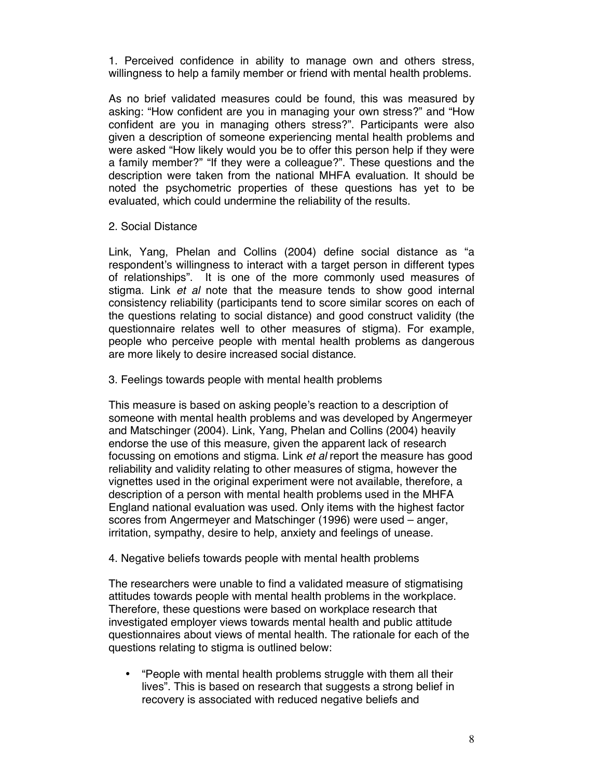1. Perceived confidence in ability to manage own and others stress, willingness to help a family member or friend with mental health problems.

As no brief validated measures could be found, this was measured by asking: "How confident are you in managing your own stress?" and "How confident are you in managing others stress?". Participants were also given a description of someone experiencing mental health problems and were asked "How likely would you be to offer this person help if they were a family member?" "If they were a colleague?". These questions and the description were taken from the national MHFA evaluation. It should be noted the psychometric properties of these questions has yet to be evaluated, which could undermine the reliability of the results.

#### 2. Social Distance

Link, Yang, Phelan and Collins (2004) define social distance as "a respondent's willingness to interact with a target person in different types of relationships". It is one of the more commonly used measures of stigma. Link *et al* note that the measure tends to show good internal consistency reliability (participants tend to score similar scores on each of the questions relating to social distance) and good construct validity (the questionnaire relates well to other measures of stigma). For example, people who perceive people with mental health problems as dangerous are more likely to desire increased social distance.

3. Feelings towards people with mental health problems

This measure is based on asking people's reaction to a description of someone with mental health problems and was developed by Angermeyer and Matschinger (2004). Link, Yang, Phelan and Collins (2004) heavily endorse the use of this measure, given the apparent lack of research focussing on emotions and stigma. Link *et al* report the measure has good reliability and validity relating to other measures of stigma, however the vignettes used in the original experiment were not available, therefore, a description of a person with mental health problems used in the MHFA England national evaluation was used. Only items with the highest factor scores from Angermeyer and Matschinger (1996) were used – anger, irritation, sympathy, desire to help, anxiety and feelings of unease.

#### 4. Negative beliefs towards people with mental health problems

The researchers were unable to find a validated measure of stigmatising attitudes towards people with mental health problems in the workplace. Therefore, these questions were based on workplace research that investigated employer views towards mental health and public attitude questionnaires about views of mental health. The rationale for each of the questions relating to stigma is outlined below:

• "People with mental health problems struggle with them all their lives". This is based on research that suggests a strong belief in recovery is associated with reduced negative beliefs and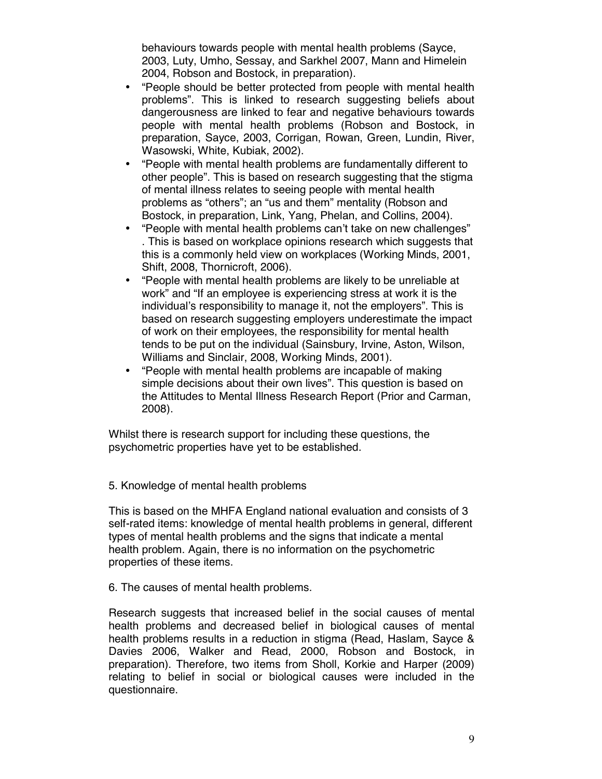behaviours towards people with mental health problems (Sayce, 2003, Luty, Umho, Sessay, and Sarkhel 2007, Mann and Himelein 2004, Robson and Bostock, in preparation).

- "People should be better protected from people with mental health problems". This is linked to research suggesting beliefs about dangerousness are linked to fear and negative behaviours towards people with mental health problems (Robson and Bostock, in preparation, Sayce, 2003, Corrigan, Rowan, Green, Lundin, River, Wasowski, White, Kubiak, 2002).
- "People with mental health problems are fundamentally different to other people". This is based on research suggesting that the stigma of mental illness relates to seeing people with mental health problems as "others"; an "us and them" mentality (Robson and Bostock, in preparation, Link, Yang, Phelan, and Collins, 2004).
- "People with mental health problems can't take on new challenges" . This is based on workplace opinions research which suggests that this is a commonly held view on workplaces (Working Minds, 2001, Shift, 2008, Thornicroft, 2006).
- "People with mental health problems are likely to be unreliable at work" and "If an employee is experiencing stress at work it is the individual's responsibility to manage it, not the employers". This is based on research suggesting employers underestimate the impact of work on their employees, the responsibility for mental health tends to be put on the individual (Sainsbury, Irvine, Aston, Wilson, Williams and Sinclair, 2008, Working Minds, 2001).
- "People with mental health problems are incapable of making simple decisions about their own lives". This question is based on the Attitudes to Mental Illness Research Report (Prior and Carman, 2008).

Whilst there is research support for including these questions, the psychometric properties have yet to be established.

5. Knowledge of mental health problems

This is based on the MHFA England national evaluation and consists of 3 self-rated items: knowledge of mental health problems in general, different types of mental health problems and the signs that indicate a mental health problem. Again, there is no information on the psychometric properties of these items.

6. The causes of mental health problems.

Research suggests that increased belief in the social causes of mental health problems and decreased belief in biological causes of mental health problems results in a reduction in stigma (Read, Haslam, Sayce & Davies 2006, Walker and Read, 2000, Robson and Bostock, in preparation). Therefore, two items from Sholl, Korkie and Harper (2009) relating to belief in social or biological causes were included in the questionnaire.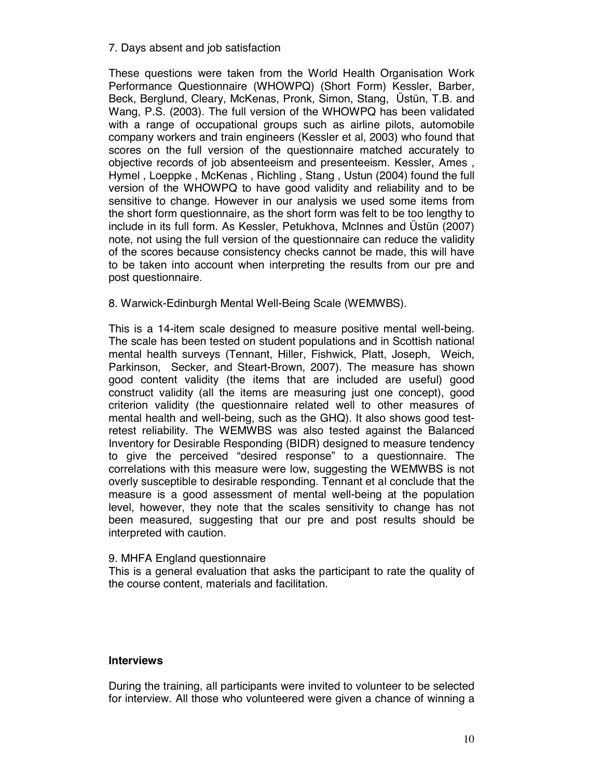#### 7. Days absent and job satisfaction

These questions were taken from the World Health Organisation Work Performance Questionnaire (WHOWPQ) (Short Form) Kessler, Barber, Beck, Berglund, Cleary, McKenas, Pronk, Simon, Stang, Üstün, T.B. and Wang, P.S. (2003). The full version of the WHOWPQ has been validated with a range of occupational groups such as airline pilots, automobile company workers and train engineers (Kessler et al, 2003) who found that scores on the full version of the questionnaire matched accurately to objective records of job absenteeism and presenteeism. Kessler, Ames , Hymel , Loeppke , McKenas , Richling , Stang , Ustun (2004) found the full version of the WHOWPQ to have good validity and reliability and to be sensitive to change. However in our analysis we used some items from the short form questionnaire, as the short form was felt to be too lengthy to include in its full form. As Kessler, Petukhova, McInnes and Üstün (2007) note, not using the full version of the questionnaire can reduce the validity of the scores because consistency checks cannot be made, this will have to be taken into account when interpreting the results from our pre and post questionnaire.

8. Warwick-Edinburgh Mental Well-Being Scale (WEMWBS).

This is a 14-item scale designed to measure positive mental well-being. The scale has been tested on student populations and in Scottish national mental health surveys (Tennant, Hiller, Fishwick, Platt, Joseph, Weich, Parkinson, Secker, and Steart-Brown, 2007). The measure has shown good content validity (the items that are included are useful) good construct validity (all the items are measuring just one concept), good criterion validity (the questionnaire related well to other measures of mental health and well-being, such as the GHQ). It also shows good testretest reliability. The WEMWBS was also tested against the Balanced Inventory for Desirable Responding (BIDR) designed to measure tendency to give the perceived "desired response" to a questionnaire. The correlations with this measure were low, suggesting the WEMWBS is not overly susceptible to desirable responding. Tennant et al conclude that the measure is a good assessment of mental well-being at the population level, however, they note that the scales sensitivity to change has not been measured, suggesting that our pre and post results should be interpreted with caution.

#### 9. MHFA England questionnaire

This is a general evaluation that asks the participant to rate the quality of the course content, materials and facilitation.

#### **Interviews**

During the training, all participants were invited to volunteer to be selected for interview. All those who volunteered were given a chance of winning a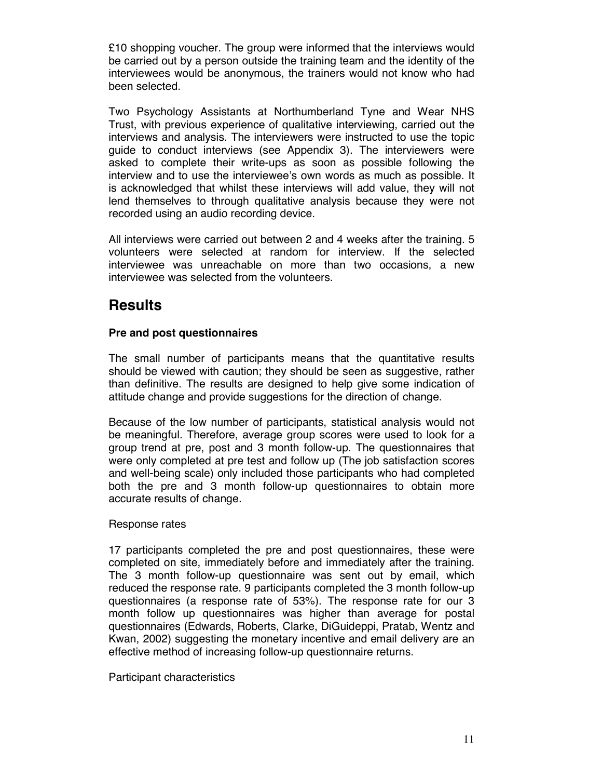£10 shopping voucher. The group were informed that the interviews would be carried out by a person outside the training team and the identity of the interviewees would be anonymous, the trainers would not know who had been selected.

Two Psychology Assistants at Northumberland Tyne and Wear NHS Trust, with previous experience of qualitative interviewing, carried out the interviews and analysis. The interviewers were instructed to use the topic guide to conduct interviews (see Appendix 3). The interviewers were asked to complete their write-ups as soon as possible following the interview and to use the interviewee's own words as much as possible. It is acknowledged that whilst these interviews will add value, they will not lend themselves to through qualitative analysis because they were not recorded using an audio recording device.

All interviews were carried out between 2 and 4 weeks after the training. 5 volunteers were selected at random for interview. If the selected interviewee was unreachable on more than two occasions, a new interviewee was selected from the volunteers.

## **Results**

### **Pre and post questionnaires**

The small number of participants means that the quantitative results should be viewed with caution; they should be seen as suggestive, rather than definitive. The results are designed to help give some indication of attitude change and provide suggestions for the direction of change.

Because of the low number of participants, statistical analysis would not be meaningful. Therefore, average group scores were used to look for a group trend at pre, post and 3 month follow-up. The questionnaires that were only completed at pre test and follow up (The job satisfaction scores and well-being scale) only included those participants who had completed both the pre and 3 month follow-up questionnaires to obtain more accurate results of change.

#### Response rates

17 participants completed the pre and post questionnaires, these were completed on site, immediately before and immediately after the training. The 3 month follow-up questionnaire was sent out by email, which reduced the response rate. 9 participants completed the 3 month follow-up questionnaires (a response rate of 53%). The response rate for our 3 month follow up questionnaires was higher than average for postal questionnaires (Edwards, Roberts, Clarke, DiGuideppi, Pratab, Wentz and Kwan, 2002) suggesting the monetary incentive and email delivery are an effective method of increasing follow-up questionnaire returns.

Participant characteristics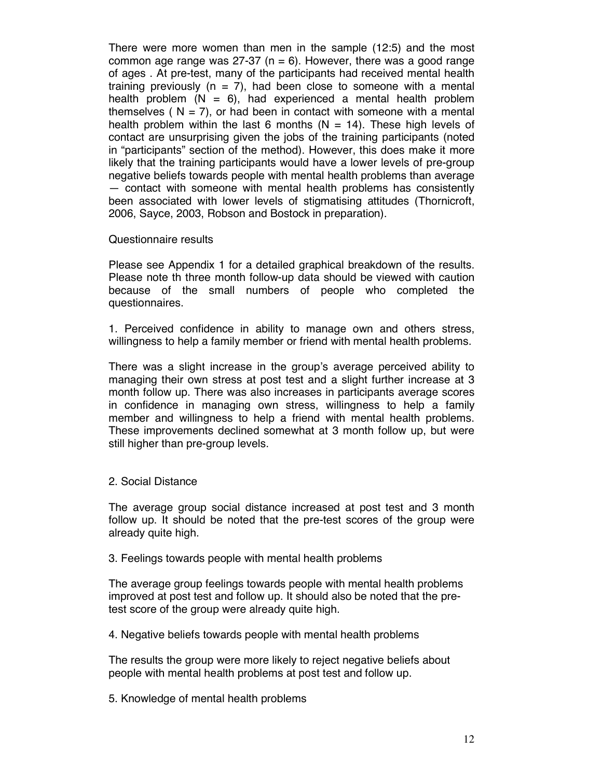There were more women than men in the sample (12:5) and the most common age range was  $27-37$  (n = 6). However, there was a good range of ages . At pre-test, many of the participants had received mental health training previously  $(n = 7)$ , had been close to someone with a mental health problem  $(N = 6)$ , had experienced a mental health problem themselves ( $N = 7$ ), or had been in contact with someone with a mental health problem within the last 6 months  $(N = 14)$ . These high levels of contact are unsurprising given the jobs of the training participants (noted in "participants" section of the method). However, this does make it more likely that the training participants would have a lower levels of pre-group negative beliefs towards people with mental health problems than average — contact with someone with mental health problems has consistently been associated with lower levels of stigmatising attitudes (Thornicroft, 2006, Sayce, 2003, Robson and Bostock in preparation).

#### Questionnaire results

Please see Appendix 1 for a detailed graphical breakdown of the results. Please note th three month follow-up data should be viewed with caution because of the small numbers of people who completed the questionnaires.

1. Perceived confidence in ability to manage own and others stress, willingness to help a family member or friend with mental health problems.

There was a slight increase in the group's average perceived ability to managing their own stress at post test and a slight further increase at 3 month follow up. There was also increases in participants average scores in confidence in managing own stress, willingness to help a family member and willingness to help a friend with mental health problems. These improvements declined somewhat at 3 month follow up, but were still higher than pre-group levels.

#### 2. Social Distance

The average group social distance increased at post test and 3 month follow up. It should be noted that the pre-test scores of the group were already quite high.

#### 3. Feelings towards people with mental health problems

The average group feelings towards people with mental health problems improved at post test and follow up. It should also be noted that the pretest score of the group were already quite high.

4. Negative beliefs towards people with mental health problems

The results the group were more likely to reject negative beliefs about people with mental health problems at post test and follow up.

5. Knowledge of mental health problems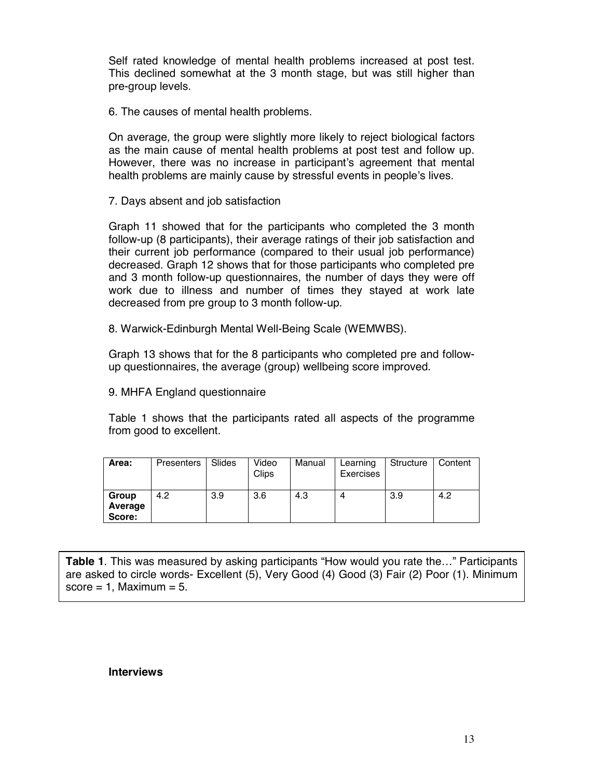Self rated knowledge of mental health problems increased at post test. This declined somewhat at the 3 month stage, but was still higher than pre-group levels.

6. The causes of mental health problems.

On average, the group were slightly more likely to reject biological factors as the main cause of mental health problems at post test and follow up. However, there was no increase in participant's agreement that mental health problems are mainly cause by stressful events in people's lives.

7. Days absent and job satisfaction

Graph 11 showed that for the participants who completed the 3 month follow-up (8 participants), their average ratings of their job satisfaction and their current job performance (compared to their usual job performance) decreased. Graph 12 shows that for those participants who completed pre and 3 month follow-up questionnaires, the number of days they were off work due to illness and number of times they stayed at work late decreased from pre group to 3 month follow-up.

8. Warwick-Edinburgh Mental Well-Being Scale (WEMWBS).

Graph 13 shows that for the 8 participants who completed pre and followup questionnaires, the average (group) wellbeing score improved.

9. MHFA England questionnaire

Table 1 shows that the participants rated all aspects of the programme from good to excellent.

| Area:                      | Presenters | Slides | Video<br>Clips | Manual | Learning<br>Exercises | Structure | Content |
|----------------------------|------------|--------|----------------|--------|-----------------------|-----------|---------|
| Group<br>Average<br>Score: | 4.2        | 3.9    | 3.6            | 4.3    |                       | 3.9       | 4.2     |

**Table 1**. This was measured by asking participants "How would you rate the…" Participants are asked to circle words- Excellent (5), Very Good (4) Good (3) Fair (2) Poor (1). Minimum score  $= 1$ . Maximum  $= 5$ .

#### **Interviews**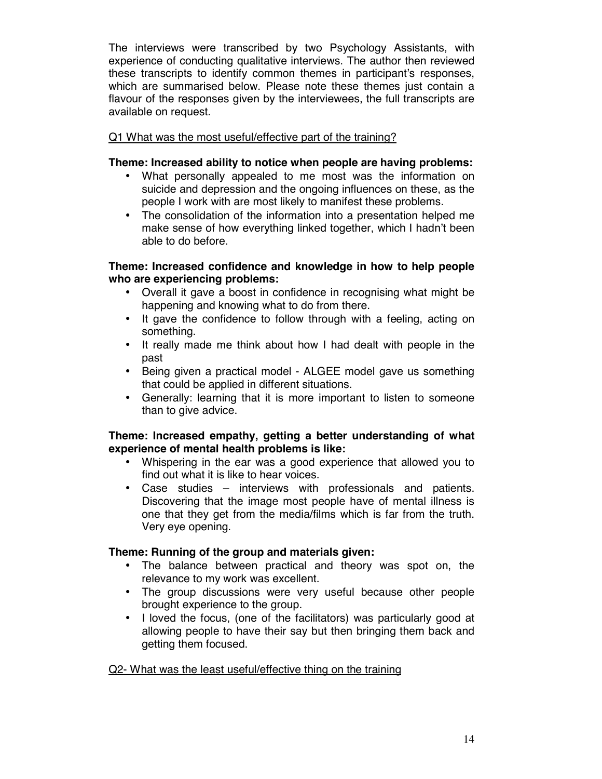The interviews were transcribed by two Psychology Assistants, with experience of conducting qualitative interviews. The author then reviewed these transcripts to identify common themes in participant's responses, which are summarised below. Please note these themes just contain a flavour of the responses given by the interviewees, the full transcripts are available on request.

### Q1 What was the most useful/effective part of the training?

#### **Theme: Increased ability to notice when people are having problems:**

- What personally appealed to me most was the information on suicide and depression and the ongoing influences on these, as the people I work with are most likely to manifest these problems.
- The consolidation of the information into a presentation helped me make sense of how everything linked together, which I hadn't been able to do before.

### **Theme: Increased confidence and knowledge in how to help people who are experiencing problems:**

- Overall it gave a boost in confidence in recognising what might be happening and knowing what to do from there.
- It gave the confidence to follow through with a feeling, acting on something.
- It really made me think about how I had dealt with people in the past
- Being given a practical model ALGEE model gave us something that could be applied in different situations.
- Generally: learning that it is more important to listen to someone than to give advice.

#### **Theme: Increased empathy, getting a better understanding of what experience of mental health problems is like:**

- Whispering in the ear was a good experience that allowed you to find out what it is like to hear voices.
- Case studies interviews with professionals and patients. Discovering that the image most people have of mental illness is one that they get from the media/films which is far from the truth. Very eye opening.

### **Theme: Running of the group and materials given:**

- The balance between practical and theory was spot on, the relevance to my work was excellent.
- The group discussions were very useful because other people brought experience to the group.
- I loved the focus, (one of the facilitators) was particularly good at allowing people to have their say but then bringing them back and getting them focused.

#### Q2- What was the least useful/effective thing on the training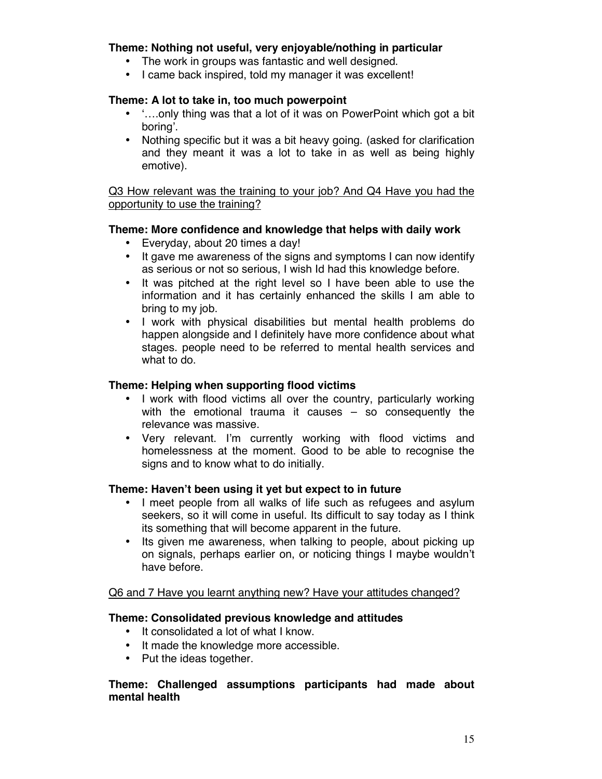### **Theme: Nothing not useful, very enjoyable/nothing in particular**

- The work in groups was fantastic and well designed.
- I came back inspired, told my manager it was excellent!

### **Theme: A lot to take in, too much powerpoint**

- '….only thing was that a lot of it was on PowerPoint which got a bit boring'.
- Nothing specific but it was a bit heavy going. (asked for clarification and they meant it was a lot to take in as well as being highly emotive).

Q3 How relevant was the training to your job? And Q4 Have you had the opportunity to use the training?

#### **Theme: More confidence and knowledge that helps with daily work**

- Everyday, about 20 times a day!
- It gave me awareness of the signs and symptoms I can now identify as serious or not so serious, I wish Id had this knowledge before.
- It was pitched at the right level so I have been able to use the information and it has certainly enhanced the skills I am able to bring to my job.
- I work with physical disabilities but mental health problems do happen alongside and I definitely have more confidence about what stages. people need to be referred to mental health services and what to do.

### **Theme: Helping when supporting flood victims**

- I work with flood victims all over the country, particularly working with the emotional trauma it causes – so consequently the relevance was massive.
- Very relevant. I'm currently working with flood victims and homelessness at the moment. Good to be able to recognise the signs and to know what to do initially.

#### **Theme: Haven't been using it yet but expect to in future**

- I meet people from all walks of life such as refugees and asylum seekers, so it will come in useful. Its difficult to say today as I think its something that will become apparent in the future.
- Its given me awareness, when talking to people, about picking up on signals, perhaps earlier on, or noticing things I maybe wouldn't have before.

#### Q6 and 7 Have you learnt anything new? Have your attitudes changed?

#### **Theme: Consolidated previous knowledge and attitudes**

- It consolidated a lot of what I know.
- It made the knowledge more accessible.
- Put the ideas together.

#### **Theme: Challenged assumptions participants had made about mental health**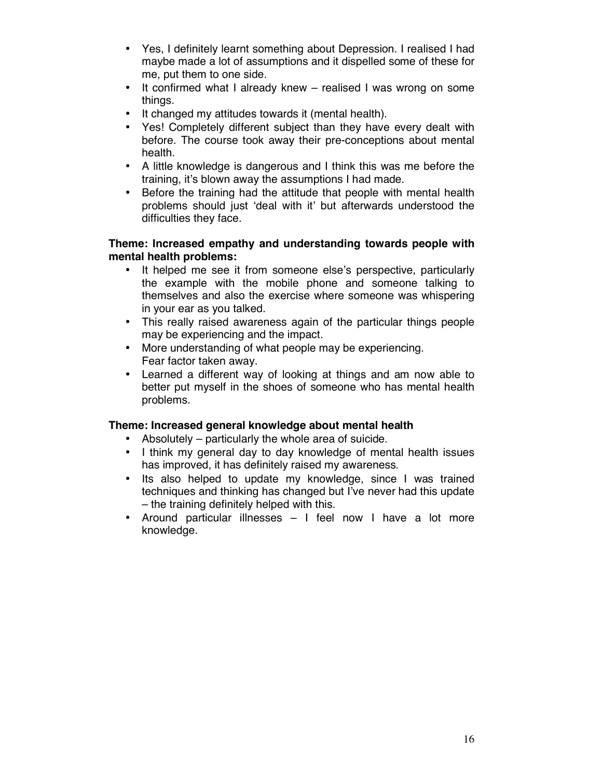- Yes, I definitely learnt something about Depression. I realised I had maybe made a lot of assumptions and it dispelled some of these for me, put them to one side.
- It confirmed what I already knew realised I was wrong on some things.
- It changed my attitudes towards it (mental health).
- Yes! Completely different subject than they have every dealt with before. The course took away their pre-conceptions about mental health.
- A little knowledge is dangerous and I think this was me before the training, it's blown away the assumptions I had made.
- Before the training had the attitude that people with mental health problems should just 'deal with it' but afterwards understood the difficulties they face.

#### **Theme: Increased empathy and understanding towards people with mental health problems:**

- It helped me see it from someone else's perspective, particularly the example with the mobile phone and someone talking to themselves and also the exercise where someone was whispering in your ear as you talked.
- This really raised awareness again of the particular things people may be experiencing and the impact.
- More understanding of what people may be experiencing. Fear factor taken away.
- Learned a different way of looking at things and am now able to better put myself in the shoes of someone who has mental health problems.

#### **Theme: Increased general knowledge about mental health**

- Absolutely particularly the whole area of suicide.
- I think my general day to day knowledge of mental health issues has improved, it has definitely raised my awareness.
- Its also helped to update my knowledge, since I was trained techniques and thinking has changed but I've never had this update – the training definitely helped with this.
- Around particular illnesses I feel now I have a lot more knowledge.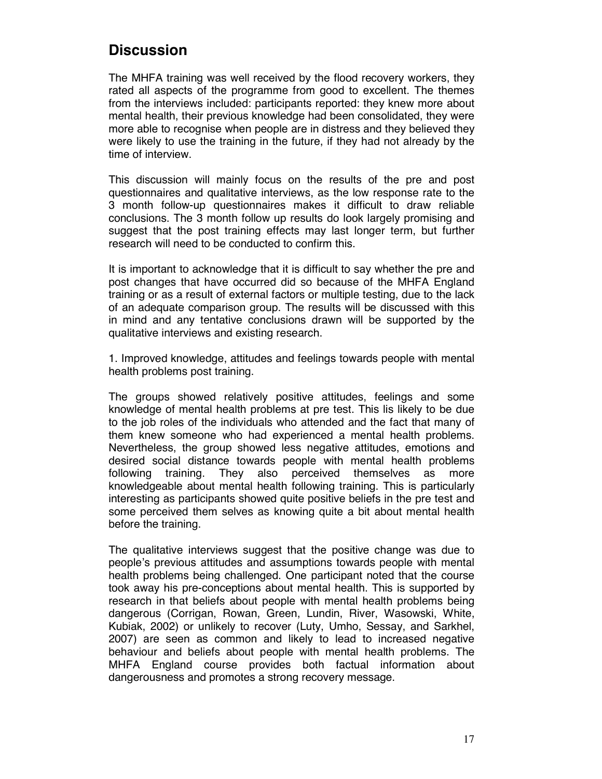## **Discussion**

The MHFA training was well received by the flood recovery workers, they rated all aspects of the programme from good to excellent. The themes from the interviews included: participants reported: they knew more about mental health, their previous knowledge had been consolidated, they were more able to recognise when people are in distress and they believed they were likely to use the training in the future, if they had not already by the time of interview.

This discussion will mainly focus on the results of the pre and post questionnaires and qualitative interviews, as the low response rate to the 3 month follow-up questionnaires makes it difficult to draw reliable conclusions. The 3 month follow up results do look largely promising and suggest that the post training effects may last longer term, but further research will need to be conducted to confirm this.

It is important to acknowledge that it is difficult to say whether the pre and post changes that have occurred did so because of the MHFA England training or as a result of external factors or multiple testing, due to the lack of an adequate comparison group. The results will be discussed with this in mind and any tentative conclusions drawn will be supported by the qualitative interviews and existing research.

1. Improved knowledge, attitudes and feelings towards people with mental health problems post training.

The groups showed relatively positive attitudes, feelings and some knowledge of mental health problems at pre test. This lis likely to be due to the job roles of the individuals who attended and the fact that many of them knew someone who had experienced a mental health problems. Nevertheless, the group showed less negative attitudes, emotions and desired social distance towards people with mental health problems following training. They also perceived themselves as more knowledgeable about mental health following training. This is particularly interesting as participants showed quite positive beliefs in the pre test and some perceived them selves as knowing quite a bit about mental health before the training.

The qualitative interviews suggest that the positive change was due to people's previous attitudes and assumptions towards people with mental health problems being challenged. One participant noted that the course took away his pre-conceptions about mental health. This is supported by research in that beliefs about people with mental health problems being dangerous (Corrigan, Rowan, Green, Lundin, River, Wasowski, White, Kubiak, 2002) or unlikely to recover (Luty, Umho, Sessay, and Sarkhel, 2007) are seen as common and likely to lead to increased negative behaviour and beliefs about people with mental health problems. The MHFA England course provides both factual information about dangerousness and promotes a strong recovery message.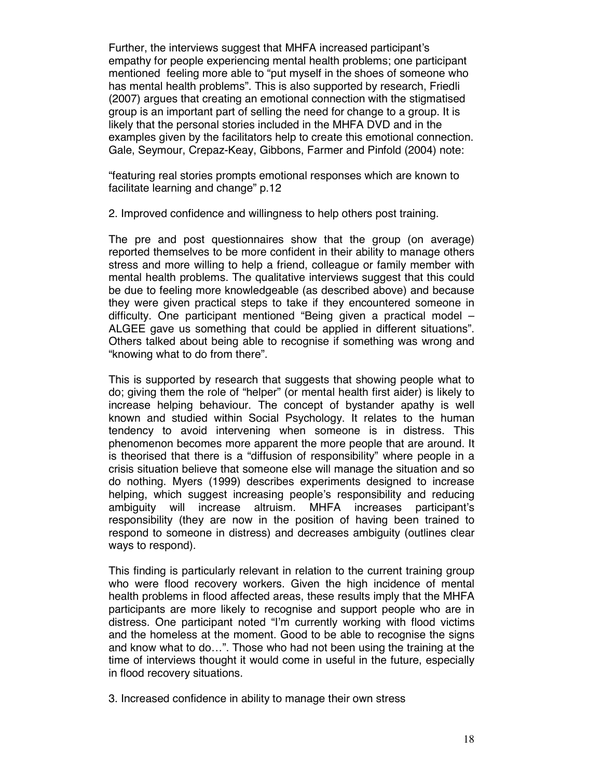Further, the interviews suggest that MHFA increased participant's empathy for people experiencing mental health problems; one participant mentioned feeling more able to "put myself in the shoes of someone who has mental health problems". This is also supported by research, Friedli (2007) argues that creating an emotional connection with the stigmatised group is an important part of selling the need for change to a group. It is likely that the personal stories included in the MHFA DVD and in the examples given by the facilitators help to create this emotional connection. Gale, Seymour, Crepaz-Keay, Gibbons, Farmer and Pinfold (2004) note:

"featuring real stories prompts emotional responses which are known to facilitate learning and change" p.12

2. Improved confidence and willingness to help others post training.

The pre and post questionnaires show that the group (on average) reported themselves to be more confident in their ability to manage others stress and more willing to help a friend, colleague or family member with mental health problems. The qualitative interviews suggest that this could be due to feeling more knowledgeable (as described above) and because they were given practical steps to take if they encountered someone in difficulty. One participant mentioned "Being given a practical model – ALGEE gave us something that could be applied in different situations". Others talked about being able to recognise if something was wrong and "knowing what to do from there".

This is supported by research that suggests that showing people what to do; giving them the role of "helper" (or mental health first aider) is likely to increase helping behaviour. The concept of bystander apathy is well known and studied within Social Psychology. It relates to the human tendency to avoid intervening when someone is in distress. This phenomenon becomes more apparent the more people that are around. It is theorised that there is a "diffusion of responsibility" where people in a crisis situation believe that someone else will manage the situation and so do nothing. Myers (1999) describes experiments designed to increase helping, which suggest increasing people's responsibility and reducing ambiguity will increase altruism. MHFA increases participant's responsibility (they are now in the position of having been trained to respond to someone in distress) and decreases ambiguity (outlines clear ways to respond).

This finding is particularly relevant in relation to the current training group who were flood recovery workers. Given the high incidence of mental health problems in flood affected areas, these results imply that the MHFA participants are more likely to recognise and support people who are in distress. One participant noted "I'm currently working with flood victims and the homeless at the moment. Good to be able to recognise the signs and know what to do…". Those who had not been using the training at the time of interviews thought it would come in useful in the future, especially in flood recovery situations.

3. Increased confidence in ability to manage their own stress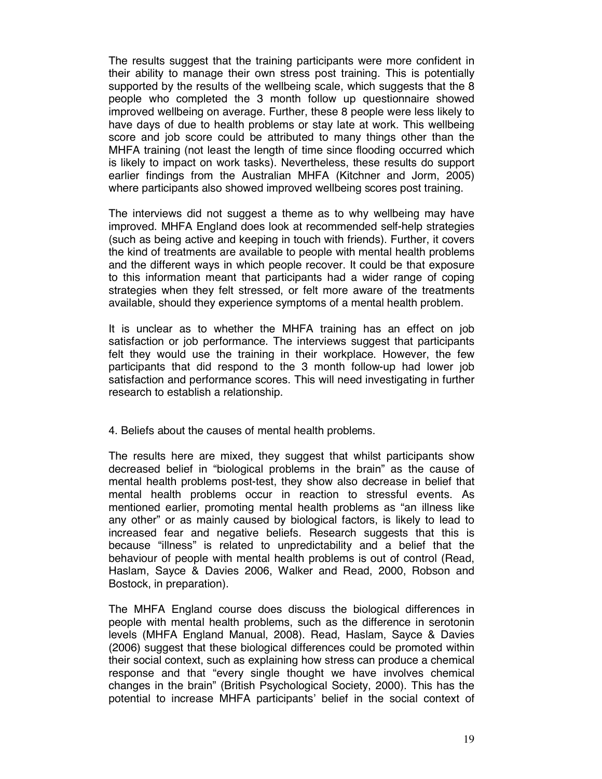The results suggest that the training participants were more confident in their ability to manage their own stress post training. This is potentially supported by the results of the wellbeing scale, which suggests that the 8 people who completed the 3 month follow up questionnaire showed improved wellbeing on average. Further, these 8 people were less likely to have days of due to health problems or stay late at work. This wellbeing score and job score could be attributed to many things other than the MHFA training (not least the length of time since flooding occurred which is likely to impact on work tasks). Nevertheless, these results do support earlier findings from the Australian MHFA (Kitchner and Jorm, 2005) where participants also showed improved wellbeing scores post training.

The interviews did not suggest a theme as to why wellbeing may have improved. MHFA England does look at recommended self-help strategies (such as being active and keeping in touch with friends). Further, it covers the kind of treatments are available to people with mental health problems and the different ways in which people recover. It could be that exposure to this information meant that participants had a wider range of coping strategies when they felt stressed, or felt more aware of the treatments available, should they experience symptoms of a mental health problem.

It is unclear as to whether the MHFA training has an effect on job satisfaction or job performance. The interviews suggest that participants felt they would use the training in their workplace. However, the few participants that did respond to the 3 month follow-up had lower job satisfaction and performance scores. This will need investigating in further research to establish a relationship.

4. Beliefs about the causes of mental health problems.

The results here are mixed, they suggest that whilst participants show decreased belief in "biological problems in the brain" as the cause of mental health problems post-test, they show also decrease in belief that mental health problems occur in reaction to stressful events. As mentioned earlier, promoting mental health problems as "an illness like any other" or as mainly caused by biological factors, is likely to lead to increased fear and negative beliefs. Research suggests that this is because "illness" is related to unpredictability and a belief that the behaviour of people with mental health problems is out of control (Read, Haslam, Sayce & Davies 2006, Walker and Read, 2000, Robson and Bostock, in preparation).

The MHFA England course does discuss the biological differences in people with mental health problems, such as the difference in serotonin levels (MHFA England Manual, 2008). Read, Haslam, Sayce & Davies (2006) suggest that these biological differences could be promoted within their social context, such as explaining how stress can produce a chemical response and that "every single thought we have involves chemical changes in the brain" (British Psychological Society, 2000). This has the potential to increase MHFA participants' belief in the social context of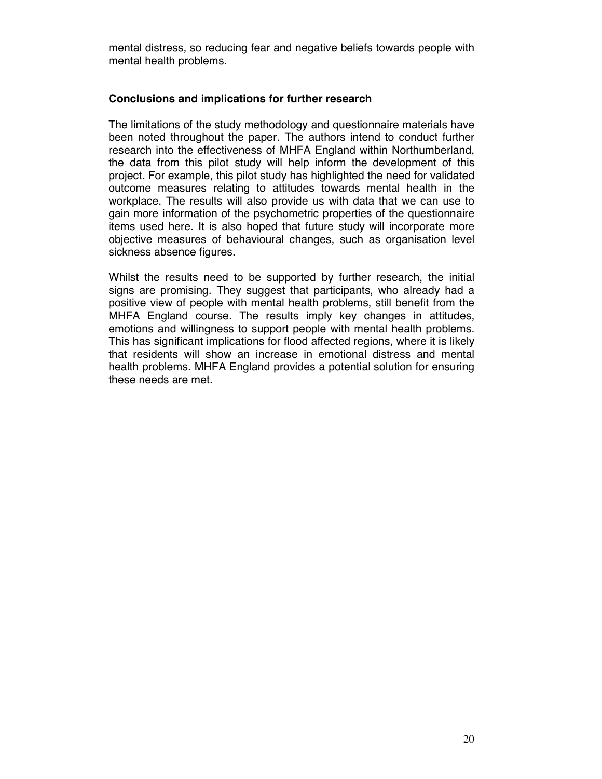mental distress, so reducing fear and negative beliefs towards people with mental health problems.

#### **Conclusions and implications for further research**

The limitations of the study methodology and questionnaire materials have been noted throughout the paper. The authors intend to conduct further research into the effectiveness of MHFA England within Northumberland, the data from this pilot study will help inform the development of this project. For example, this pilot study has highlighted the need for validated outcome measures relating to attitudes towards mental health in the workplace. The results will also provide us with data that we can use to gain more information of the psychometric properties of the questionnaire items used here. It is also hoped that future study will incorporate more objective measures of behavioural changes, such as organisation level sickness absence figures.

Whilst the results need to be supported by further research, the initial signs are promising. They suggest that participants, who already had a positive view of people with mental health problems, still benefit from the MHFA England course. The results imply key changes in attitudes, emotions and willingness to support people with mental health problems. This has significant implications for flood affected regions, where it is likely that residents will show an increase in emotional distress and mental health problems. MHFA England provides a potential solution for ensuring these needs are met.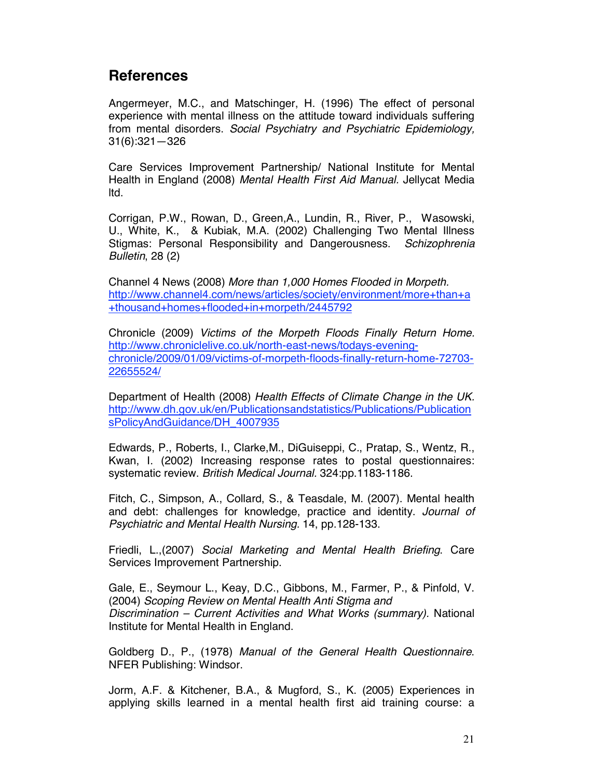## **References**

Angermeyer, M.C., and Matschinger, H. (1996) The effect of personal experience with mental illness on the attitude toward individuals suffering from mental disorders. *Social Psychiatry and Psychiatric Epidemiology,*  31(6):321—326

Care Services Improvement Partnership/ National Institute for Mental Health in England (2008) *Mental Health First Aid Manual.* Jellycat Media ltd.

Corrigan, P.W., Rowan, D., Green,A., Lundin, R., River, P., Wasowski, U., White, K., & Kubiak, M.A. (2002) Challenging Two Mental Illness Stigmas: Personal Responsibility and Dangerousness. *Schizophrenia Bulletin*, 28 (2)

Channel 4 News (2008) *More than 1,000 Homes Flooded in Morpeth.* http://www.channel4.com/news/articles/society/environment/more+than+a +thousand+homes+flooded+in+morpeth/2445792

Chronicle (2009) *Victims of the Morpeth Floods Finally Return Home.* http://www.chroniclelive.co.uk/north-east-news/todays-eveningchronicle/2009/01/09/victims-of-morpeth-floods-finally-return-home-72703- 22655524/

Department of Health (2008) *Health Effects of Climate Change in the UK.*  http://www.dh.gov.uk/en/Publicationsandstatistics/Publications/Publication sPolicyAndGuidance/DH\_4007935

Edwards, P., Roberts, I., Clarke,M., DiGuiseppi, C., Pratap, S., Wentz, R., Kwan, I. (2002) Increasing response rates to postal questionnaires: systematic review. *British Medical Journal.* 324:pp.1183-1186.

Fitch, C., Simpson, A., Collard, S., & Teasdale, M. (2007). Mental health and debt: challenges for knowledge, practice and identity. *Journal of Psychiatric and Mental Health Nursing.* 14, pp.128-133.

Friedli, L.,(2007) *Social Marketing and Mental Health Briefing*. Care Services Improvement Partnership.

Gale, E., Seymour L., Keay, D.C., Gibbons, M., Farmer, P., & Pinfold, V. (2004) *Scoping Review on Mental Health Anti Stigma and Discrimination – Current Activities and What Works (summary).* National Institute for Mental Health in England.

Goldberg D., P., (1978) *Manual of the General Health Questionnaire*. NFER Publishing: Windsor.

Jorm, A.F. & Kitchener, B.A., & Mugford, S., K. (2005) Experiences in applying skills learned in a mental health first aid training course: a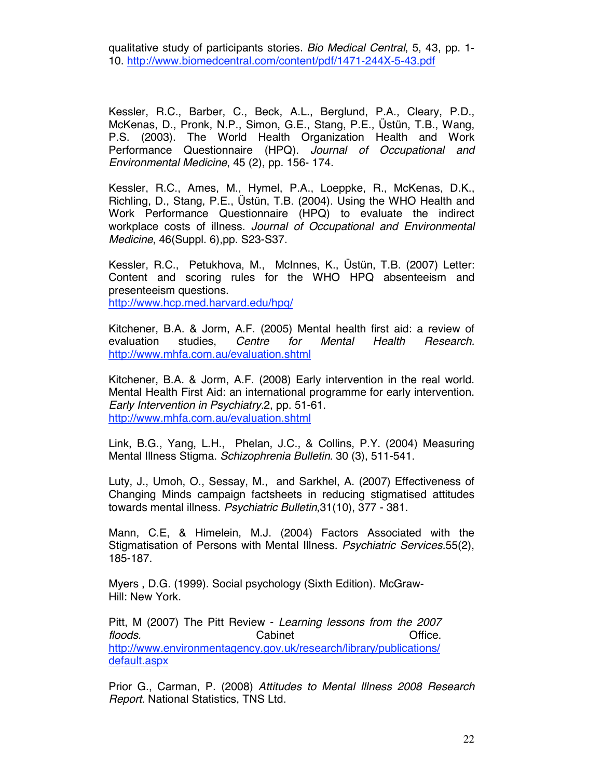qualitative study of participants stories. *Bio Medical Central*, 5, 43, pp. 1- 10. http://www.biomedcentral.com/content/pdf/1471-244X-5-43.pdf

Kessler, R.C., Barber, C., Beck, A.L., Berglund, P.A., Cleary, P.D., McKenas, D., Pronk, N.P., Simon, G.E., Stang, P.E., Üstün, T.B., Wang, P.S. (2003). The World Health Organization Health and Work Performance Questionnaire (HPQ). *Journal of Occupational and Environmental Medicine*, 45 (2), pp. 156- 174.

Kessler, R.C., Ames, M., Hymel, P.A., Loeppke, R., McKenas, D.K., Richling, D., Stang, P.E., Üstün, T.B. (2004). Using the WHO Health and Work Performance Questionnaire (HPQ) to evaluate the indirect workplace costs of illness. *Journal of Occupational and Environmental Medicine*, 46(Suppl. 6),pp. S23-S37.

Kessler, R.C., Petukhova, M., McInnes, K., Üstün, T.B. (2007) Letter: Content and scoring rules for the WHO HPQ absenteeism and presenteeism questions. http://www.hcp.med.harvard.edu/hpq/

Kitchener, B.A. & Jorm, A.F. (2005) Mental health first aid: a review of evaluation studies, *Centre for Mental Health Research.* http://www.mhfa.com.au/evaluation.shtml

Kitchener, B.A. & Jorm, A.F. (2008) Early intervention in the real world. Mental Health First Aid: an international programme for early intervention. *Early Intervention in Psychiatry.*2, pp. 51-61. http://www.mhfa.com.au/evaluation.shtml

Link, B.G., Yang, L.H., Phelan, J.C., & Collins, P.Y. (2004) Measuring Mental Illness Stigma. *Schizophrenia Bulletin.* 30 (3), 511-541.

Luty, J., Umoh, O., Sessay, M., and Sarkhel, A. (2007) Effectiveness of Changing Minds campaign factsheets in reducing stigmatised attitudes towards mental illness. *Psychiatric Bulletin*,31(10), 377 - 381.

Mann, C.E, & Himelein, M.J. (2004) Factors Associated with the Stigmatisation of Persons with Mental Illness. *Psychiatric Services.*55(2), 185-187.

Myers , D.G. (1999). Social psychology (Sixth Edition). McGraw-Hill: New York.

Pitt, M (2007) The Pitt Review - *Learning lessons from the 2007 floods.* Cabinet Cabinet Cabinet Controller Controller Controller Controller Controller Controller Controller http://www.environmentagency.gov.uk/research/library/publications/ default.aspx

Prior G., Carman, P. (2008) *Attitudes to Mental Illness 2008 Research Report.* National Statistics, TNS Ltd.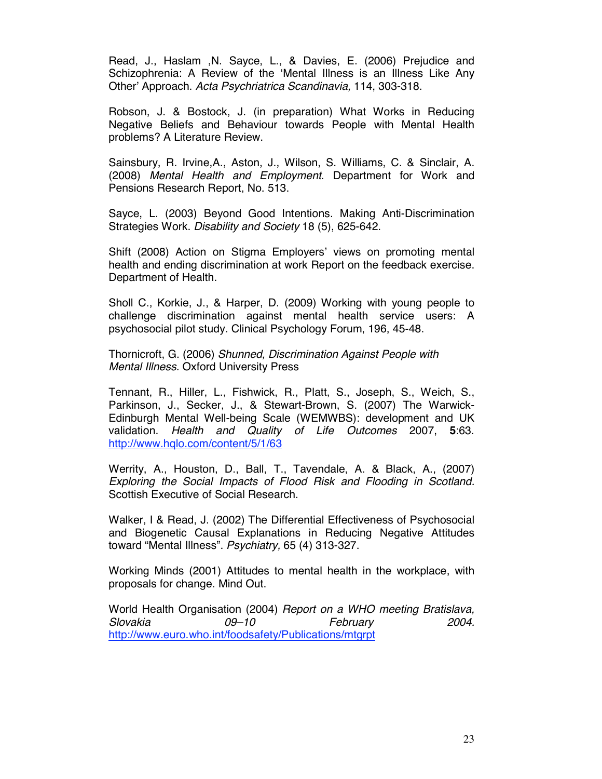Read, J., Haslam ,N. Sayce, L., & Davies, E. (2006) Prejudice and Schizophrenia: A Review of the 'Mental Illness is an Illness Like Any Other' Approach. *Acta Psychriatrica Scandinavia,* 114, 303-318.

Robson, J. & Bostock, J. (in preparation) What Works in Reducing Negative Beliefs and Behaviour towards People with Mental Health problems? A Literature Review.

Sainsbury, R. Irvine,A., Aston, J., Wilson, S. Williams, C. & Sinclair, A. (2008) *Mental Health and Employment*. Department for Work and Pensions Research Report, No. 513.

Sayce, L. (2003) Beyond Good Intentions. Making Anti-Discrimination Strategies Work. *Disability and Society* 18 (5), 625-642.

Shift (2008) Action on Stigma Employers' views on promoting mental health and ending discrimination at work Report on the feedback exercise. Department of Health.

Sholl C., Korkie, J., & Harper, D. (2009) Working with young people to challenge discrimination against mental health service users: A psychosocial pilot study. Clinical Psychology Forum, 196, 45-48.

Thornicroft, G. (2006) *Shunned, Discrimination Against People with Mental Illness.* Oxford University Press

Tennant, R., Hiller, L., Fishwick, R., Platt, S., Joseph, S., Weich, S., Parkinson, J., Secker, J., & Stewart-Brown, S. (2007) The Warwick-Edinburgh Mental Well-being Scale (WEMWBS): development and UK validation. *Health and Quality of Life Outcomes* 2007, **5**:63. http://www.hqlo.com/content/5/1/63

Werrity, A., Houston, D., Ball, T., Tavendale, A. & Black, A., (2007) *Exploring the Social Impacts of Flood Risk and Flooding in Scotland.*  Scottish Executive of Social Research.

Walker, I & Read, J. (2002) The Differential Effectiveness of Psychosocial and Biogenetic Causal Explanations in Reducing Negative Attitudes toward "Mental Illness". *Psychiatry,* 65 (4) 313-327.

Working Minds (2001) Attitudes to mental health in the workplace, with proposals for change. Mind Out.

World Health Organisation (2004) *Report on a WHO meeting Bratislava, Slovakia 09–10 February 2004.*  http://www.euro.who.int/foodsafety/Publications/mtgrpt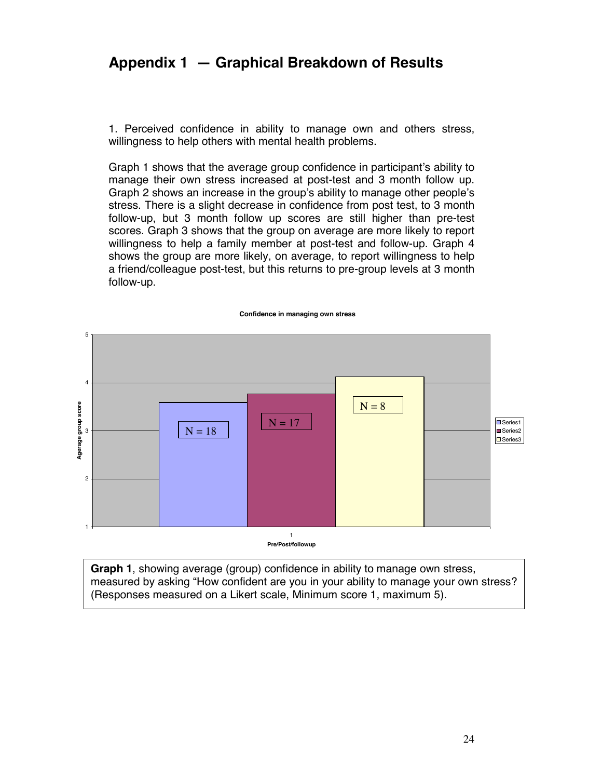## **Appendix 1 — Graphical Breakdown of Results**

1. Perceived confidence in ability to manage own and others stress, willingness to help others with mental health problems.

Graph 1 shows that the average group confidence in participant's ability to manage their own stress increased at post-test and 3 month follow up. Graph 2 shows an increase in the group's ability to manage other people's stress. There is a slight decrease in confidence from post test, to 3 month follow-up, but 3 month follow up scores are still higher than pre-test scores. Graph 3 shows that the group on average are more likely to report willingness to help a family member at post-test and follow-up. Graph 4 shows the group are more likely, on average, to report willingness to help a friend/colleague post-test, but this returns to pre-group levels at 3 month follow-up.



**Graph 1**, showing average (group) confidence in ability to manage own stress, measured by asking "How confident are you in your ability to manage your own stress? (Responses measured on a Likert scale, Minimum score 1, maximum 5).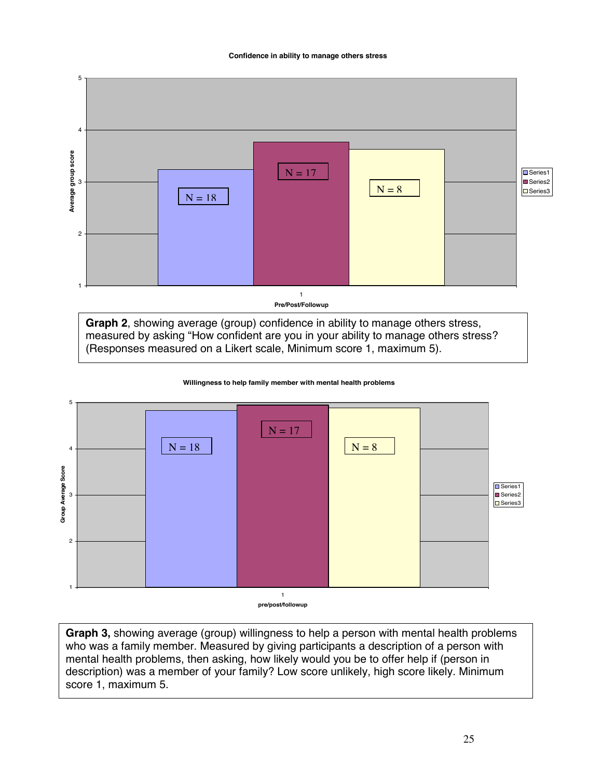



**Graph 2**, showing average (group) confidence in ability to manage others stress, measured by asking "How confident are you in your ability to manage others stress? (Responses measured on a Likert scale, Minimum score 1, maximum 5).



**Willingness to help family member with mental health problems**

**Graph 3,** showing average (group) willingness to help a person with mental health problems who was a family member. Measured by giving participants a description of a person with mental health problems, then asking, how likely would you be to offer help if (person in description) was a member of your family? Low score unlikely, high score likely. Minimum score 1, maximum 5.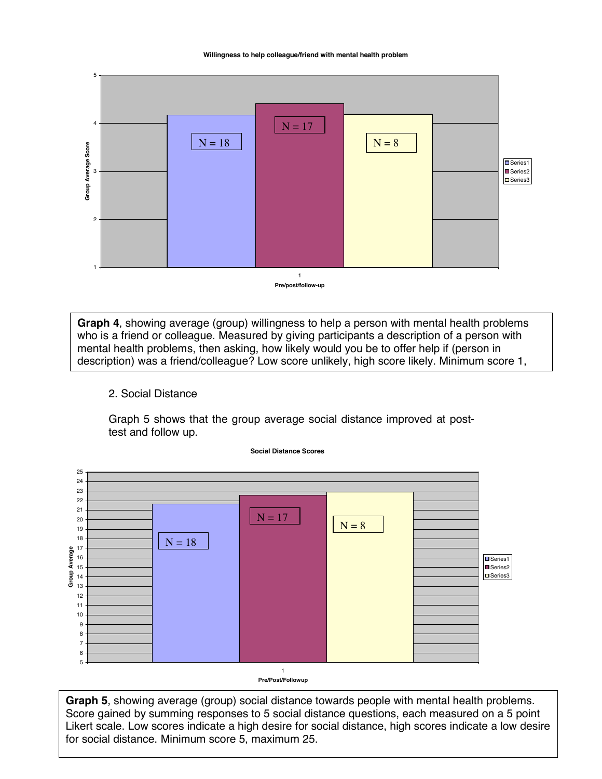**Willingness to help colleague/friend with mental health problem**



**Pre/post/follow-up**

**Graph 4**, showing average (group) willingness to help a person with mental health problems who is a friend or colleague. Measured by giving participants a description of a person with mental health problems, then asking, how likely would you be to offer help if (person in description) was a friend/colleague? Low score unlikely, high score likely. Minimum score 1,

#### 2. Social Distance

Graph 5 shows that the group average social distance improved at posttest and follow up.



**Social Distance Scores**

**Pre/Post/Followup**

**Graph 5**, showing average (group) social distance towards people with mental health problems. Score gained by summing responses to 5 social distance questions, each measured on a 5 point Likert scale. Low scores indicate a high desire for social distance, high scores indicate a low desire for social distance. Minimum score 5, maximum 25.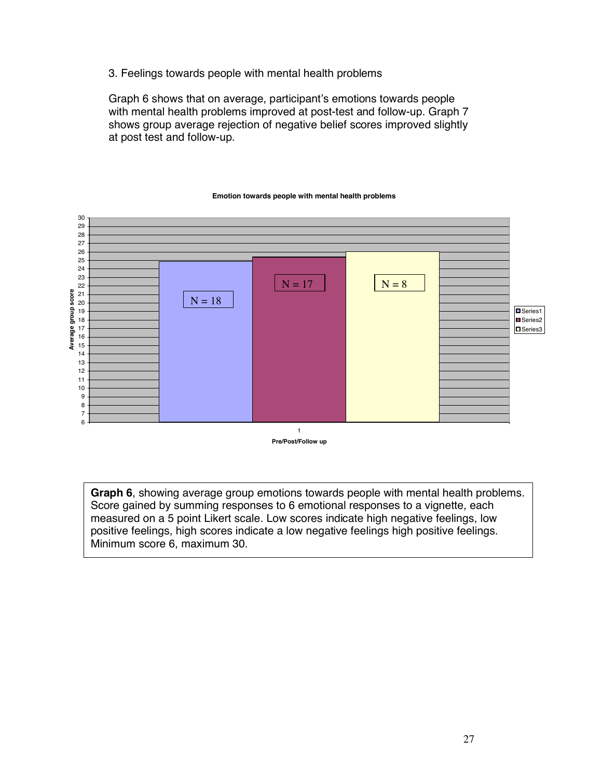3. Feelings towards people with mental health problems

Graph 6 shows that on average, participant's emotions towards people with mental health problems improved at post-test and follow-up. Graph 7 shows group average rejection of negative belief scores improved slightly at post test and follow-up.



#### **Emotion towards people with mental health problems**

**Graph 6**, showing average group emotions towards people with mental health problems. Score gained by summing responses to 6 emotional responses to a vignette, each measured on a 5 point Likert scale. Low scores indicate high negative feelings, low positive feelings, high scores indicate a low negative feelings high positive feelings. Minimum score 6, maximum 30.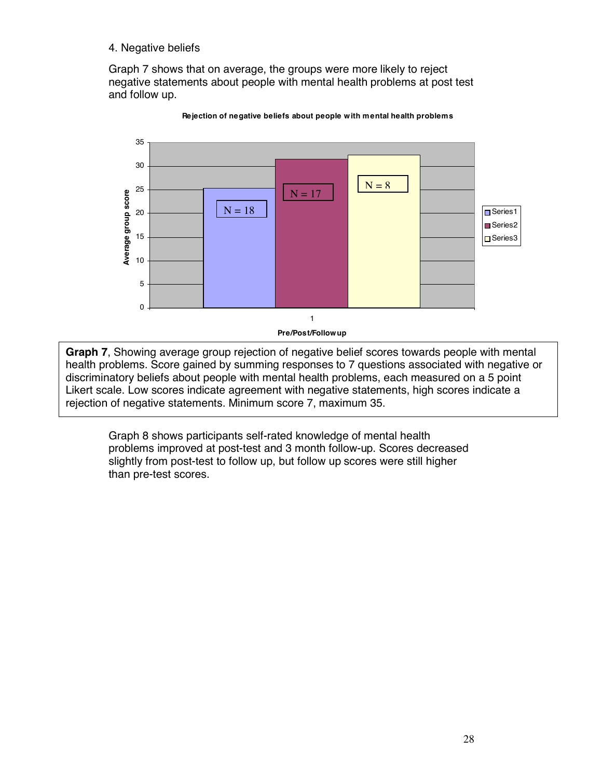### 4. Negative beliefs

Graph 7 shows that on average, the groups were more likely to reject negative statements about people with mental health problems at post test and follow up.



**Rejection of negative beliefs about people w ith mental health problems**

Einert eeure. Een eeeree indicate agroement min negative etatemik<br>rejection of negative statements. Minimum score 7, maximum 35. **Graph 7**, Showing average group rejection of negative belief scores towards people with mental health problems. Score gained by summing responses to 7 questions associated with negative or discriminatory beliefs about people with mental health problems, each measured on a 5 point Likert scale. Low scores indicate agreement with negative statements, high scores indicate a

Graph 8 shows participants self-rated knowledge of mental health problems improved at post-test and 3 month follow-up. Scores decreased slightly from post-test to follow up, but follow up scores were still higher than pre-test scores.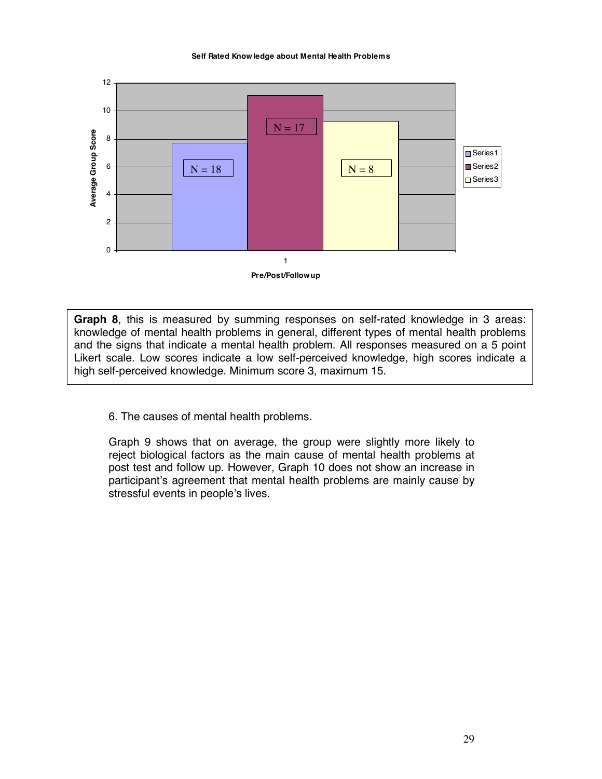#### **Self Rated Know ledge about Mental Health Problems**



**Graph 8**, this is measured by summing responses on self-rated knowledge in 3 areas: knowledge of mental health problems in general, different types of mental health problems and the signs that indicate a mental health problem. All responses measured on a 5 point Likert scale. Low scores indicate a low self-perceived knowledge, high scores indicate a high self-perceived knowledge. Minimum score 3, maximum 15.

6. The causes of mental health problems.

Graph 9 shows that on average, the group were slightly more likely to reject biological factors as the main cause of mental health problems at post test and follow up. However, Graph 10 does not show an increase in participant's agreement that mental health problems are mainly cause by stressful events in people's lives.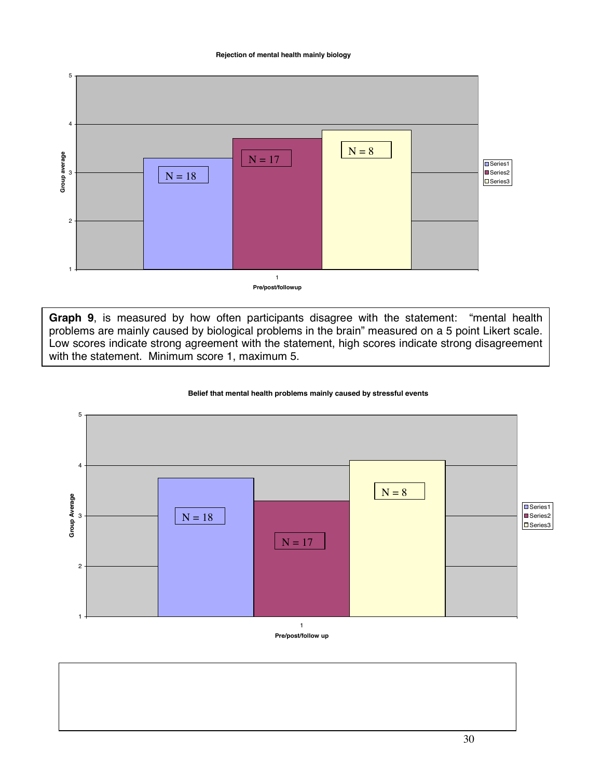#### **Rejection of mental health mainly biology**



**Pre/post/followup**

**Graph 9**, is measured by how often participants disagree with the statement: "mental health problems are mainly caused by biological problems in the brain" measured on a 5 point Likert scale. Low scores indicate strong agreement with the statement, high scores indicate strong disagreement with the statement. Minimum score 1, maximum 5.

#### **Belief that mental health problems mainly caused by stressful events**



**Pre/post/follow up**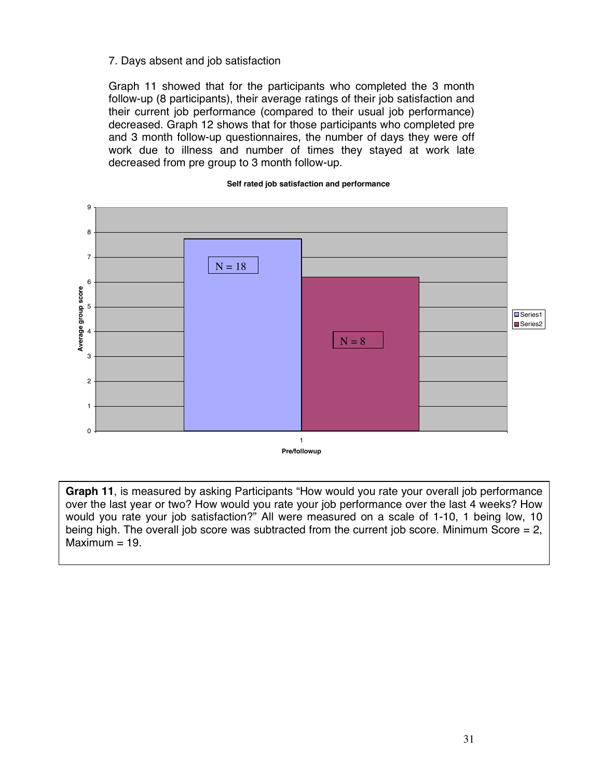#### 7. Days absent and job satisfaction

Graph 11 showed that for the participants who completed the 3 month follow-up (8 participants), their average ratings of their job satisfaction and their current job performance (compared to their usual job performance) decreased. Graph 12 shows that for those participants who completed pre and 3 month follow-up questionnaires, the number of days they were off work due to illness and number of times they stayed at work late decreased from pre group to 3 month follow-up.



#### **Self rated job satisfaction and performance**

**Graph 11**, is measured by asking Participants "How would you rate your overall job performance over the last year or two? How would you rate your job performance over the last 4 weeks? How would you rate your job satisfaction?" All were measured on a scale of 1-10, 1 being low, 10 being high. The overall job score was subtracted from the current job score. Minimum Score = 2,  $Maximum = 19.$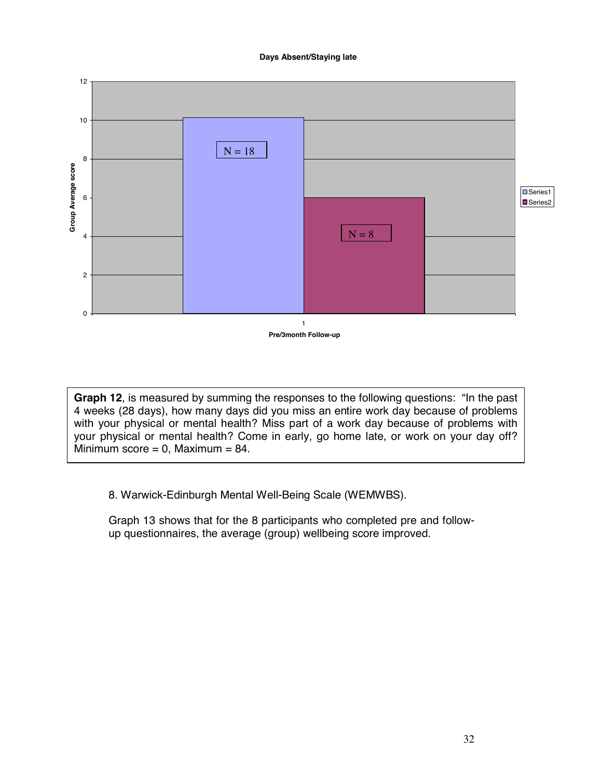#### **Days Absent/Staying late**



**Graph 12**, is measured by summing the responses to the following questions: "In the past 4 weeks (28 days), how many days did you miss an entire work day because of problems with your physical or mental health? Miss part of a work day because of problems with your physical or mental health? Come in early, go home late, or work on your day off? Minimum score =  $0$ , Maximum =  $84$ .

8. Warwick-Edinburgh Mental Well-Being Scale (WEMWBS).

Graph 13 shows that for the 8 participants who completed pre and followup questionnaires, the average (group) wellbeing score improved.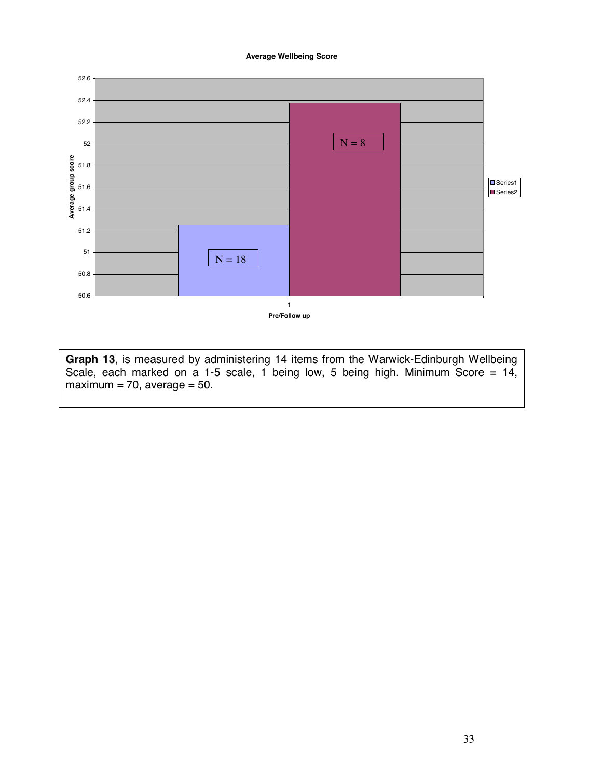#### **Average Wellbeing Score**



**Graph 13**, is measured by administering 14 items from the Warwick-Edinburgh Wellbeing Scale, each marked on a 1-5 scale, 1 being low, 5 being high. Minimum Score = 14,  $maximum = 70$ , average = 50.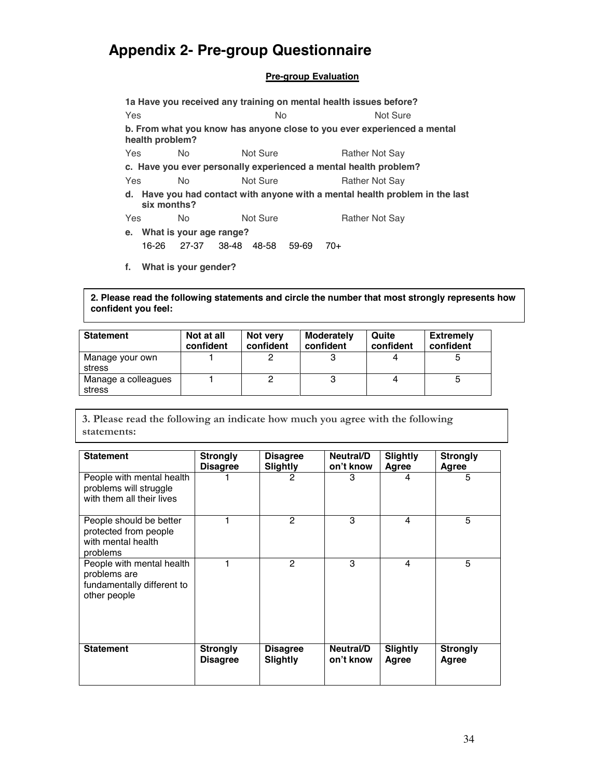## **Appendix 2- Pre-group Questionnaire**

#### **Pre-group Evaluation**

**1a Have you received any training on mental health issues before? Yes** No Not Sure **b. From what you know has anyone close to you ever experienced a mental health problem?**  Yes No Not Sure Rather Not Say **c. Have you ever personally experienced a mental health problem?**  Yes No Not Sure Rather Not Say **d. Have you had contact with anyone with a mental health problem in the last six months?**  Yes No Not Sure Rather Not Say **e. What is your age range?** 

16-26 27-37 38-48 48-58 59-69 70+

**f. What is your gender?** 

**2. Please read the following statements and circle the number that most strongly represents how confident you feel:** 

| <b>Statement</b>              | Not at all<br>confident | Not very<br>confident | <b>Moderately</b><br>confident | Quite<br>confident | <b>Extremely</b><br>confident |
|-------------------------------|-------------------------|-----------------------|--------------------------------|--------------------|-------------------------------|
| Manage your own<br>stress     |                         |                       |                                |                    |                               |
| Manage a colleagues<br>stress |                         |                       |                                |                    | 5                             |

3. Please read the following an indicate how much you agree with the following statements:

| <b>Statement</b>                                                                        | <b>Strongly</b><br><b>Disagree</b> | <b>Disagree</b><br><b>Slightly</b> | Neutral/D<br>on't know | <b>Slightly</b><br>Agree | <b>Strongly</b><br>Agree |
|-----------------------------------------------------------------------------------------|------------------------------------|------------------------------------|------------------------|--------------------------|--------------------------|
| People with mental health<br>problems will struggle<br>with them all their lives        |                                    | 2                                  | 3                      | 4                        | 5                        |
| People should be better<br>protected from people<br>with mental health<br>problems      |                                    | 2                                  | 3                      | 4                        | 5                        |
| People with mental health<br>problems are<br>fundamentally different to<br>other people |                                    | $\mathcal{P}$                      | 3                      | 4                        | 5                        |
| <b>Statement</b>                                                                        | <b>Strongly</b><br><b>Disagree</b> | <b>Disagree</b><br><b>Slightly</b> | Neutral/D<br>on't know | <b>Slightly</b><br>Agree | <b>Strongly</b><br>Agree |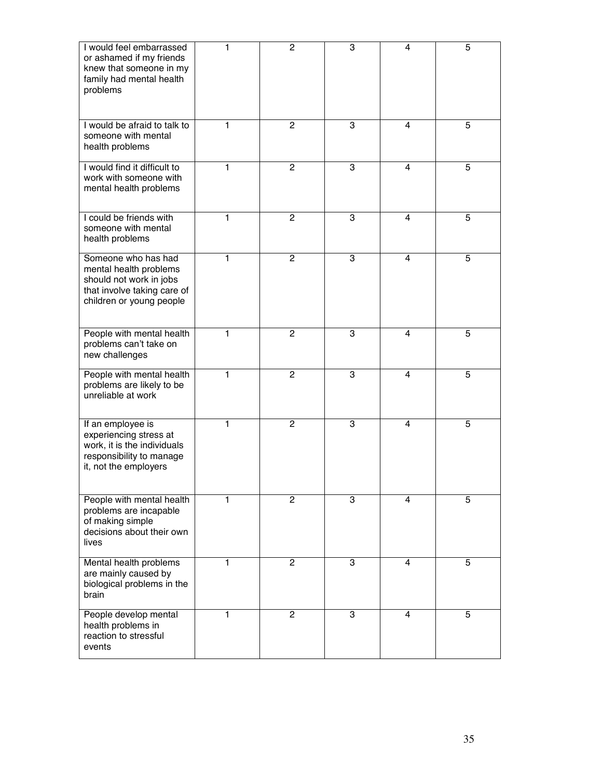| I would feel embarrassed<br>or ashamed if my friends<br>knew that someone in my<br>family had mental health<br>problems             | 1 | $\mathbf{2}$   | 3 | 4              | 5 |
|-------------------------------------------------------------------------------------------------------------------------------------|---|----------------|---|----------------|---|
| I would be afraid to talk to<br>someone with mental<br>health problems                                                              | 1 | $\overline{2}$ | 3 | 4              | 5 |
| I would find it difficult to<br>work with someone with<br>mental health problems                                                    | 1 | $\mathbf{2}$   | 3 | $\overline{4}$ | 5 |
| I could be friends with<br>someone with mental<br>health problems                                                                   | 1 | $\overline{2}$ | 3 | 4              | 5 |
| Someone who has had<br>mental health problems<br>should not work in jobs<br>that involve taking care of<br>children or young people | 1 | 2              | 3 | $\overline{4}$ | 5 |
| People with mental health<br>problems can't take on<br>new challenges                                                               | 1 | $\overline{2}$ | 3 | 4              | 5 |
| People with mental health<br>problems are likely to be<br>unreliable at work                                                        | 1 | $\overline{c}$ | 3 | 4              | 5 |
| If an employee is<br>experiencing stress at<br>work, it is the individuals<br>responsibility to manage<br>it, not the employers     | 1 | $\overline{2}$ | 3 | $\overline{4}$ | 5 |
| People with mental health<br>problems are incapable<br>of making simple<br>decisions about their own<br>lives                       | 1 | 2              | 3 | 4              | 5 |
| Mental health problems<br>are mainly caused by<br>biological problems in the<br>brain                                               | 1 | $\overline{2}$ | 3 | 4              | 5 |
| People develop mental<br>health problems in<br>reaction to stressful<br>events                                                      | 1 | $\mathbf{2}$   | 3 | 4              | 5 |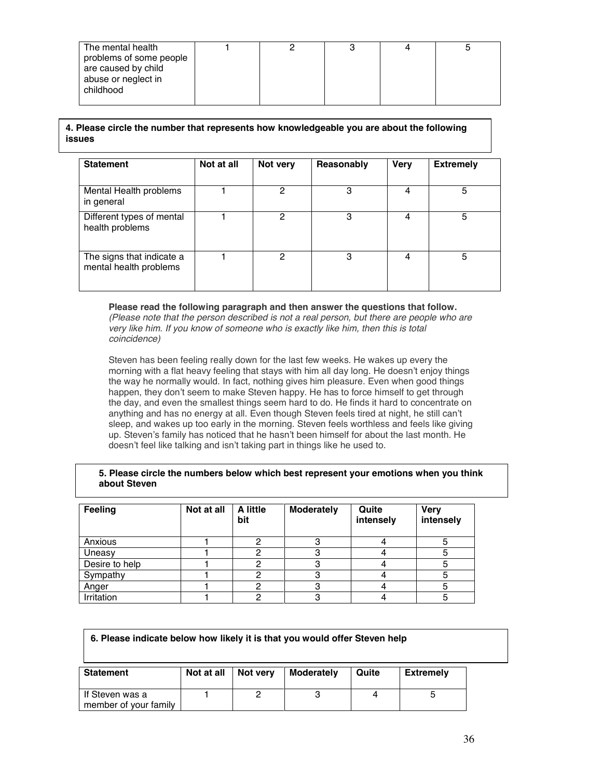| The mental health<br>problems of some people<br>are caused by child<br>abuse or neglect in<br>childhood |  |  |  |  |  |
|---------------------------------------------------------------------------------------------------------|--|--|--|--|--|
|---------------------------------------------------------------------------------------------------------|--|--|--|--|--|

#### **4. Please circle the number that represents how knowledgeable you are about the following issues**

| <b>Statement</b>                                    | Not at all | Not very | Reasonably | <b>Very</b> | <b>Extremely</b> |
|-----------------------------------------------------|------------|----------|------------|-------------|------------------|
| Mental Health problems<br>in general                |            | 2        | 3          | 4           | 5                |
| Different types of mental<br>health problems        |            | 2        | 3          | 4           | 5                |
| The signs that indicate a<br>mental health problems |            | 2        | 3          | 4           | 5                |

#### **Please read the following paragraph and then answer the questions that follow.**

*(Please note that the person described is not a real person, but there are people who are very like him. If you know of someone who is exactly like him, then this is total coincidence)* 

Steven has been feeling really down for the last few weeks. He wakes up every the morning with a flat heavy feeling that stays with him all day long. He doesn't enjoy things the way he normally would. In fact, nothing gives him pleasure. Even when good things happen, they don't seem to make Steven happy. He has to force himself to get through the day, and even the smallest things seem hard to do. He finds it hard to concentrate on anything and has no energy at all. Even though Steven feels tired at night, he still can't sleep, and wakes up too early in the morning. Steven feels worthless and feels like giving up. Steven's family has noticed that he hasn't been himself for about the last month. He doesn't feel like talking and isn't taking part in things like he used to.

#### **5. Please circle the numbers below which best represent your emotions when you think about Steven**

| Feeling        | Not at all | <b>A</b> little<br>bit | <b>Moderately</b> | Quite<br>intensely | <b>Very</b><br>intensely |
|----------------|------------|------------------------|-------------------|--------------------|--------------------------|
| Anxious        |            |                        |                   |                    |                          |
| Uneasy         |            |                        |                   |                    |                          |
| Desire to help |            |                        |                   |                    |                          |
| Sympathy       |            |                        |                   |                    |                          |
| Anger          |            |                        |                   |                    |                          |
| Irritation     |            |                        |                   |                    |                          |

## **Statement** | Not at all | Not very | Moderately | Quite | Extremely If Steven was a 1 2 3 4 5 **6. Please indicate below how likely it is that you would offer Steven help**

member of your family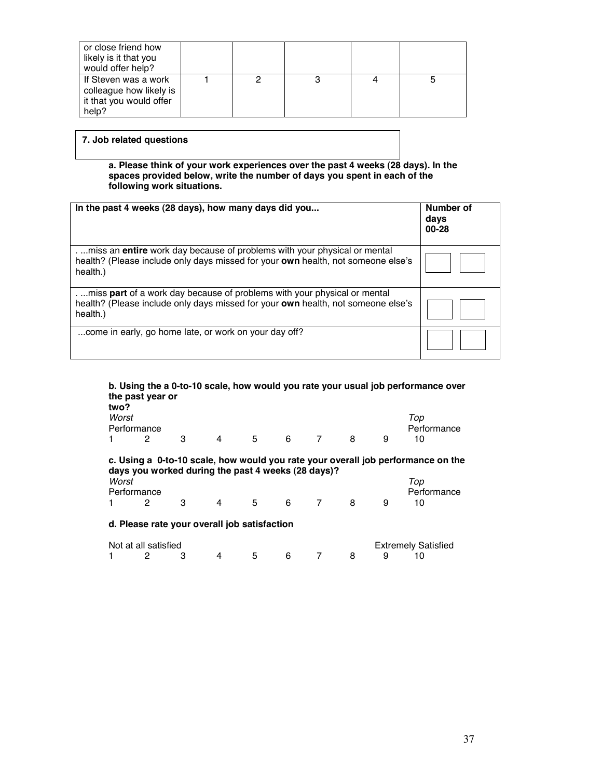| or close friend how<br>likely is it that you<br>would offer help?                   |  |  |   |
|-------------------------------------------------------------------------------------|--|--|---|
| If Steven was a work<br>colleague how likely is<br>it that you would offer<br>help? |  |  | 5 |

#### **7. Job related questions**

**a. Please think of your work experiences over the past 4 weeks (28 days). In the spaces provided below, write the number of days you spent in each of the following work situations.** 

| In the past 4 weeks (28 days), how many days did you                                                                                                                              | Number of<br>days<br>00-28 |
|-----------------------------------------------------------------------------------------------------------------------------------------------------------------------------------|----------------------------|
| . miss an <b>entire</b> work day because of problems with your physical or mental<br>health? (Please include only days missed for your own health, not someone else's<br>health.) |                            |
| miss part of a work day because of problems with your physical or mental<br>health? (Please include only days missed for your own health, not someone else's<br>health.)          |                            |
| come in early, go home late, or work on your day off?                                                                                                                             |                            |

#### **b. Using the a 0-to-10 scale, how would you rate your usual job performance over the past year or**

| two?<br>Worst | Performance                                        |   |   |    |   |   |   | Top<br>Performance                                                               |  |
|---------------|----------------------------------------------------|---|---|----|---|---|---|----------------------------------------------------------------------------------|--|
|               | 2                                                  | 3 | 4 | 5  | 6 | 8 | 9 | 10                                                                               |  |
|               | days you worked during the past 4 weeks (28 days)? |   |   |    |   |   |   | c. Using a 0-to-10 scale, how would you rate your overall job performance on the |  |
| Worst         | Performance                                        |   |   |    |   |   |   | Top<br>Performance                                                               |  |
|               | 2                                                  | з | 4 | 5. | 6 | 8 | 9 | 10                                                                               |  |
|               |                                                    |   |   |    |   |   |   |                                                                                  |  |

#### **d. Please rate your overall job satisfaction**

| Not at all satisfied |  |  |  |           |  |  | <b>Extremely Satisfied</b> |  |
|----------------------|--|--|--|-----------|--|--|----------------------------|--|
|                      |  |  |  | 5 6 7 8 9 |  |  |                            |  |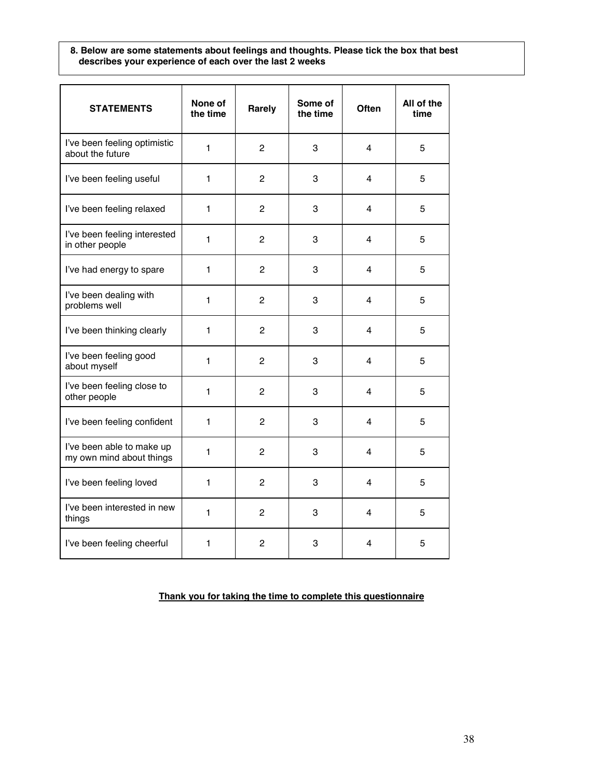#### **8. Below are some statements about feelings and thoughts. Please tick the box that best describes your experience of each over the last 2 weeks**

| <b>STATEMENTS</b>                                     | None of<br>the time | Rarely         | Some of<br>the time | Often | All of the<br>time |
|-------------------------------------------------------|---------------------|----------------|---------------------|-------|--------------------|
| I've been feeling optimistic<br>about the future      | 1                   | 2              | 3                   | 4     | 5                  |
| I've been feeling useful                              | $\mathbf{1}$        | $\overline{c}$ | 3                   | 4     | 5                  |
| I've been feeling relaxed                             | 1                   | $\overline{c}$ | 3                   | 4     | 5                  |
| I've been feeling interested<br>in other people       | $\mathbf{1}$        | $\overline{c}$ | 3                   | 4     | 5                  |
| I've had energy to spare                              | 1                   | $\overline{c}$ | 3                   | 4     | 5                  |
| I've been dealing with<br>problems well               | $\mathbf{1}$        | $\overline{c}$ | 3                   | 4     | 5                  |
| I've been thinking clearly                            | 1                   | $\overline{c}$ | 3                   | 4     | 5                  |
| I've been feeling good<br>about myself                | 1                   | $\overline{2}$ | 3                   | 4     | 5                  |
| I've been feeling close to<br>other people            | 1                   | $\overline{c}$ | 3                   | 4     | 5                  |
| I've been feeling confident                           | 1                   | 2              | 3                   | 4     | 5                  |
| I've been able to make up<br>my own mind about things | 1                   | 2              | 3                   | 4     | 5                  |
| I've been feeling loved                               | 1                   | $\overline{c}$ | 3                   | 4     | 5                  |
| I've been interested in new<br>things                 | 1                   | $\overline{2}$ | 3                   | 4     | 5                  |
| I've been feeling cheerful                            | 1                   | $\overline{c}$ | 3                   | 4     | 5                  |

**Thank you for taking the time to complete this questionnaire**